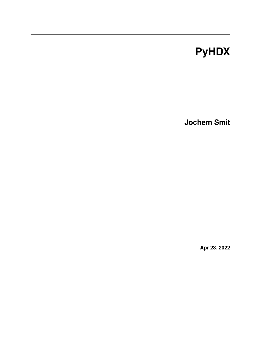# **PyHDX**

**Jochem Smit**

**Apr 23, 2022**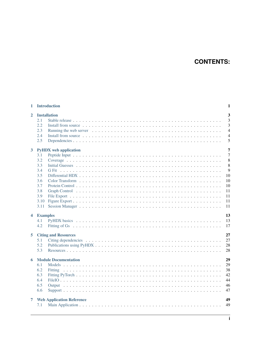## **CONTENTS:**

|              | 1 Introduction<br>1                                                                                                  |                                                                            |  |  |
|--------------|----------------------------------------------------------------------------------------------------------------------|----------------------------------------------------------------------------|--|--|
| $\mathbf{2}$ | <b>Installation</b><br>2.1<br>2.2<br>2.3<br>2.4<br>2.5                                                               | $\overline{\mathbf{3}}$<br>3<br>3<br>$\overline{4}$<br>$\overline{4}$<br>5 |  |  |
| $3^{\circ}$  | <b>PyHDX</b> web application<br>3.1<br>3.2<br>3.3<br>3.4<br>G Fit<br>3.5<br>3.6<br>3.7<br>3.8<br>3.9<br>3.10<br>3.11 | 7<br>7<br>8<br>8<br>9<br>10<br>10<br>10<br>11<br>11<br>11<br>11            |  |  |
|              | 4 Examples<br>4.1<br>4.2                                                                                             | 13<br>13<br>17                                                             |  |  |
| 5            | <b>Citing and Resources</b><br>5.1<br>5.2<br>5.3                                                                     | 27<br>27<br>28<br>28                                                       |  |  |
| 6            | <b>Module Documentation</b><br>6.1<br>6.2<br>6.3<br>6.4<br>6.5<br>6.6                                                | 29<br>29<br>38<br>42<br>44<br>46<br>47                                     |  |  |
| 7            | <b>Web Application Reference</b><br>7.1                                                                              | 49<br>49                                                                   |  |  |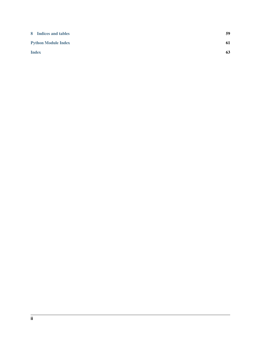| 8 Indices and tables       | 59 |
|----------------------------|----|
| <b>Python Module Index</b> | 61 |
| <b>Index</b>               | 63 |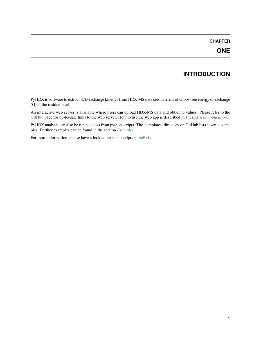### **CHAPTER**

## **INTRODUCTION**

<span id="page-4-0"></span>PyHDX is software to extract H/D exchange kinetics from HDX-MS data sets in terms of Gibbs free energy of exchange (G) at the residue level.

An interactive web server is available where users can upload HDX-MS data and obtain G values. Please refer to the [GitHub](https://github.com/Jhsmit/PyHDX) page for up-to-date links to the web server. How to use the web app is described in *[PyHDX web application](#page-10-0)*.

PyHDX analysis can also be ran headless from python scripts. The 'templates' directory on GitHub lists several examples. Further examples can be found in the section *[Examples](#page-16-0)*.

For more information, please have a look at our manuscript on [bioRxiv.](https://doi.org/10.1101/2020.09.30.320887)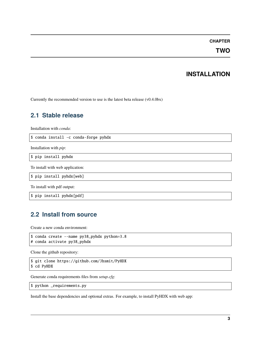### **CHAPTER**

**TWO**

### **INSTALLATION**

<span id="page-6-0"></span>Currently the recommended version to use is the latest beta release (v0.4.0bx)

## <span id="page-6-1"></span>**2.1 Stable release**

Installation with *conda*:

\$ conda install -c conda-forge pyhdx

Installation with *pip*:

\$ pip install pyhdx

To install with web application:

\$ pip install pyhdx[web]

To install with pdf output:

\$ pip install pyhdx[pdf]

## <span id="page-6-2"></span>**2.2 Install from source**

Create a new conda environment:

```
$ conda create --name py38_pyhdx python=3.8
# conda activate py38_pyhdx
```
Clone the github repository:

```
$ git clone https://github.com/Jhsmit/PyHDX
$ cd PyHDX
```
Generate conda requirements files from *setup.cfg*:

```
$ python _requirements.py
```
Install the base dependencies and optional extras. For example, to install PyHDX with web app: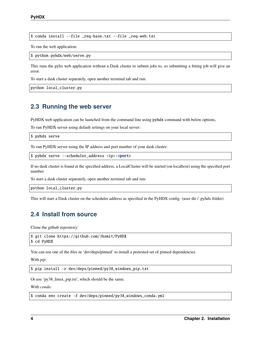\$ conda install --file \_req-base.txt --file \_req-web.txt

To run the web application:

\$ python pyhdx/web/serve.py

This runs the pyhx web application without a Dask cluster to submit jobs to, so submitting a fitting job will give an error.

To start a dask cluster separately, open another terminal tab and run:

python local\_cluster.py

### <span id="page-7-0"></span>**2.3 Running the web server**

PyHDX web application can be launched from the command line using pyhdx command with below options,

To run PyHDX server using default settings on your local server:

\$ pyhdx serve

To run PyHDX server using the IP address and port number of your dask cluster:

\$ pyhdx serve --scheduler\_address <ip>:<port>

If no dask cluster is found at the specified address, a LocalCluster will be started (on localhost) using the specified port number.

To start a dask cluster separately, open another terminal tab and run:

python local\_cluster.py

This will start a Dask cluster on the scheduler address as specified in the PyHDX config. (user dir / .pyhdx folder)

### <span id="page-7-1"></span>**2.4 Install from source**

Clone the github repository:

```
$ git clone https://github.com/Jhsmit/PyHDX
$ cd PyHDX
```
You can use one of the files in 'dev/deps/pinned' to install a pretested set of pinned dependencies.

With *pip*:

\$ pip install -r dev/deps/pinned/py38\_windows\_pip.txt

Or use 'py38\_linux\_pip.txt', which should be the same.

With *conda*:

\$ conda env create -f dev/deps/pinned/py38\_windows\_conda.yml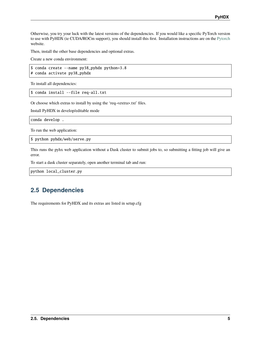Otherwise, you try your luck with the latest versions of the dependencies. If you would like a specific PyTorch version to use with PyHDX (ie CUDA/ROCm support), you should install this first. Installation instructions are on the [Pytorch](https://pytorch.org/) website.

Then, install the other base dependencies and optional extras.

Create a new conda environment:

\$ conda create --name py38\_pyhdx python=3.8 # conda activate py38\_pyhdx

To install all dependencies:

\$ conda install --file req-all.txt

Or choose which extras to install by using the 'req-<extra>.txt' files.

Install PyHDX in develop/editable mode

conda develop .

To run the web application:

\$ python pyhdx/web/serve.py

This runs the pyhx web application without a Dask cluster to submit jobs to, so submitting a fitting job will give an error.

To start a dask cluster separately, open another terminal tab and run:

python local\_cluster.py

### <span id="page-8-0"></span>**2.5 Dependencies**

The requirements for PyHDX and its extras are listed in setup.cfg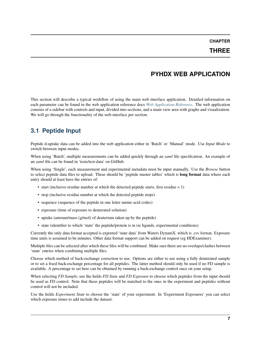### **CHAPTER**

### **THREE**

### **PYHDX WEB APPLICATION**

<span id="page-10-0"></span>This section will describe a typical workflow of using the main web interface application. Detailed information on each parameter can be found in the web application reference docs *[Web Application Reference](#page-52-0)*. The web application consists of a sidebar with controls and input, divided into sections, and a main view area with graphs and visualization. We will go through the functionality of the web interface per section.

## <span id="page-10-1"></span>**3.1 Peptide Input**

Peptide d-uptake data can be added into the web application either in 'Batch' or 'Manual' mode. Use *Input Mode* to switch between input modes.

When using 'Batch', multiple measurements can be added quickly through an *yaml* file specification. An example of an *yaml* file can be found in 'tests/test-data' on GitHub.

When using 'Single', each measurement and experimental metadata must be input manually. Use the *Browse* button to select peptide data files to upload. These should be 'peptide master tables' which is **long format** data where each entry should at least have the entries of:

- start (inclusive residue number at which the detected peptide starts, first residue  $= 1$ )
- stop (inclusive residue number at which the detected peptide stops)
- sequence (sequence of the peptide in one letter amino acid codes)
- exposure (time of exposure to deuterated solution)
- uptake (amount/mass (g/mol) of deuterium taken up by the peptide)
- state (identifier to which 'state' the peptide/protein is in (ie ligands, experimental conditions)

Currently the only data format accepted is exported 'state data' from Waters DynamX, which is .csv format. Exposure time units is assumed to be minutes. Other data format support can be added on request (eg HDExaminer).

Multiple files can be selected after which these files will be combined. Make sure there are no overlaps/clashes between 'state' entries when combining multiple files.

Choose which method of back-exchange correction to use. Options are either to use using a fully deuterated sample or to set a fixed back-exchange percentage for all peptides. The latter method should only be used if no FD sample is available. A percentage to set here can be obtained by running a back-exchange control once on your setup.

When selecting *FD Sample*, use the fields *FD State* and *FD Exposure* to choose which peptides from the input should be used as FD control. Note that these peptides will be matched to the ones in the experiment and peptides without control will not be included.

Use the fields *Experiment State* to choose the 'state' of your experiment. In 'Experiment Exposures' you can select which exposure times to add include the dataset.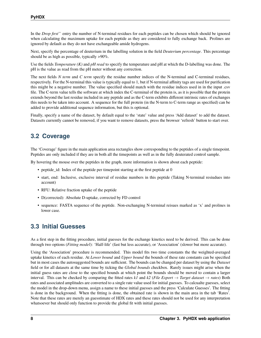In the *Drop first*'` entry the number of N-terminal residues for each peptides can be chosen which should be ignored when calculating the maximum uptake for each peptide as they are considered to fully exchange back. Prolines are ignored by default as they do not have exchangeable amide hydrogens.

Next, specify the percentage of deuterium in the labelling solution in the field *Deuterium percentage*. This percentage should be as high as possible, typically >90%.

Use the fields *Temperature (K)* and *pH read* to specify the temperature and pH at which the D-labelling was done. The pH is the value as read from the pH meter without any correction.

The next fields *N term* and *C term* specify the residue number indices of the N-terminal and C-terminal residues, respectively. For the N-terminal this value is typically equal to 1, but if N-terminal affinity tags are used for purification this might be a negative number. The value specified should match with the residue indices used in in the input .csv file. The C-term value tells the software at which index the C-terminal of the protein is, as it is possible that the protein extends beyond the last residue included in any peptide and as the C-term exhibits different intrinsic rates of exchanges this needs to be taken into account. A sequence for the full protein (in the N-term to C-term range as specified) can be added to provide additional sequence information, but this is optional.

Finally, specify a name of the dataset, by default equal to the 'state' value and press 'Add dataset' to add the dataset. Datasets currently cannot be removed, if you want to remove datasets, press the browser 'refresh' button to start over.

## <span id="page-11-0"></span>**3.2 Coverage**

The 'Coverage' figure in the main application area rectangles show corresponding to the peptides of a single timepoint. Peptides are only included if they are in both all the timepoints as well as in the fully deuterated control sample.

By hovering the mouse over the peptides in the graph, more information is shown about each peptide:

- peptide\_id: Index of the peptide per timepoint starting at the first peptide at 0
- start, end: Inclusive, exclusive interval of residue numbers in this peptide (Taking N-terminal resiudues into account)
- RFU: Relative fraction uptake of the peptide
- D(corrected): Absolute D-uptake, corrected by FD control
- sequence: FASTA sequence of the peptide. Non-exchanging N-terminal reisues marked as 'x' and prolines in lower case.

## <span id="page-11-1"></span>**3.3 Initial Guesses**

As a first step in the fitting procedure, initial guesses for the exchange kinetics need to be derived. This can be done through two options (*Fitting model*): 'Half-life' (fast but less accurate), or 'Association' (slower but more accurate).

Using the 'Association' procedure is recommended. This model fits two time constants the the weighted-averaged uptake kinetics of each residue. At *Lower bound* and *Upper bound* the bounds of these rate constants can be specified but in most cases the autosuggested bounds are sufficient. The bounds can be changed per dataset by using the *Dataset* field or for all datasets at the same time by ticking the *Global bounds* checkbox. Rarely issues might arise when the initial guess rates are close to the specified bounds at which point the bounds should be moved to contain a larger interval. This can be checked by comparing the fitted rates *k1* and *k2* (*File Export*  $\rightarrow$  *Target dataset*  $\rightarrow$  *rates*) Both rates and associated amplitudes are converted to a single rate value used for initial guesses. To calcualte guesses, select the model in the drop-down menu, assign a name to these initial guesses and the press 'Calculate Guesses'. The fitting is done in the background. When the fitting is done, the obtained rate is shown in the main area in the tab 'Rates'. Note that these rates are merely an guesstimate of HDX rates and these rates should not be used for any interpretation whatsoever but should only function to provide the global fit with initial guesses.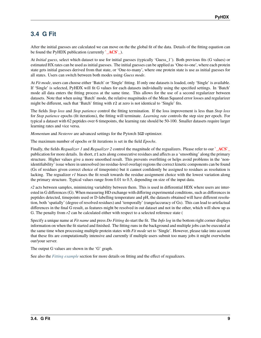## <span id="page-12-0"></span>**3.4 G Fit**

After the initial guesses are calculated we can move on the the global fit of the data. Details of the fitting equation can be found the PyHDX publication (currently **`\_ACS`\_**).

At *Initial guess*, select which dataset to use for initial guesses (typically 'Guess\_1'). Both previous fits (G values) or estimated HX rates can be used as initial guesses. The initial guesses can be applied as 'One-to-one', where each protein state gets initial guesses derived from that state, or 'One-to-many', where one protein state is use as initial guesses for all states. Users can switch between both modes using *Guess mode*.

At *Fit mode*, users can choose either 'Batch' or 'Single' fitting. If only one datasets is loaded, only 'Single' is available. If 'Single' is selected, PyHDX will fit G values for each datasets individually using the specified settings. In 'Batch' mode all data enters the fitting process at the same time. This allows for the use of a second regularizer between datasets. Note that when using 'Batch' mode, the relative magnitudes of the Mean Squared error losses and regularizer might be different, such that 'Batch' fitting with r2 at zero is not identical to 'Single' fits.

The fields *Stop loss* and *Stop patience* control the fitting termination. If the loss improvement is less than *Stop loss* for *Stop patience* epochs (fit iterations), the fitting will terminate. *Learning rate* controls the step size per epoch. For typical a dataset with 62 peptides over 6 timepoints, the learning rate should be 50-100. Smaller datasets require larger learning rates and vice versa.

*Momentum* and *Nesterov* are advanced settings for the Pytorch SGD optimizer.

The maximum number of epochs or fit iterations is set in the field *Epochs*.

Finally, the fields *Regualizer 1* and *Regualizer 2* control the magnitude of the regualizers. Please refer to our **`\_ACS`\_** publication for more details. In short, r1 acts along consecutive residues and affects as a 'smoothing' along the primary structure. Higher values give a more smoothed result. This prevents overfitting or helps avoid problems in the 'nonidentifiability' issue where in unresolved (no residue-level overlap) regions the correct kinetic components can be found (Gs of residues given correct choice of timepoints) but it cannot confidently be assigned to residues as resolution is lacking. The regualizer *r1* biases the fit result towards the residue assignment choice with the lowest variation along the primary structure. Typical values range from 0.01 to 0.5, depending on size of the input data.

*r2* acts between samples, minimizing variability between them. This is used in differential HDX where users are interested in G differences (G). When measuring HD exchange with differing experimental conditions, such as differences in peptides detected, timepoints used or D-labelling temperature and pH, the datasets obtained will have different resolution, both 'spatially' (degree of resolved residues) and 'temporally' (range/accuracy of Gs). This can lead to artefactual differences in the final G result, as features might be resolved in out dataset and not in the other, which will show up as G. The penalty from *r2* can be calculated either with respect to a selected reference state (

Specify a unique name at *Fit name* and press *Do Fitting* do start the fit. The *Info log* in the bottom right corner displays information on when the fit started and finished. The fitting runs in the background and multiple jobs can be executed at the same time when processing multiple protein states with *Fit mode* set to 'Single'. However, please take into account that these fits are computationally intensive and currently if multiple users submit too many jobs it might overwhelm our/your server.

The output G values are shown in the 'G' graph.

See also the *[Fitting example](#page-20-0)* section for more details on fitting and the effect of regualizers.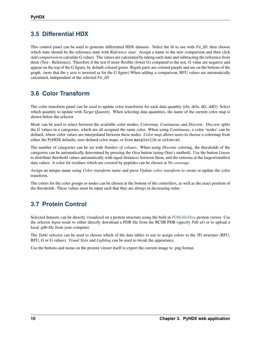## <span id="page-13-0"></span>**3.5 Differential HDX**

This control panel can be used to generate differential HDX datasets. Select the fit to use with *Fit\_ID*, then choose which state should be the reference state with *Reference state*. Assign a name to the new comparison and then click *Add comparison* to calculate G values. The values are calculated by taking each state and subtracting the reference from them (Test - Reference). Therefore if the test if more flexible (lower G) compared to the test, G value are negative and appear on the top of the G figure, by default colored green. Rigids parts are colored purple and are on the bottom of the graph. (note that the y axis is inverted as for the G figure) When adding a comparison, RFU values are automatically calculated, independent of the selected *Fit\_ID*

## <span id="page-13-1"></span>**3.6 Color Transform**

The color transform panel can be used to update color transforms for each data quantity (rfu, drfu, dG, ddG). Select which quantity to update with *Target Quantity*. When selecting data quantities, the name of the current color map is shown below the selector.

*Mode* can be used to select between the available color modes; *Colormap*, *Continuous* and *Discrete*. *Discrete* splits the G values in *n* categories, which are all assigned the same color. When using *Continuous*, *n* color 'nodes' can be defined, where color values are interpolated between these nodes. *Color map* allows users to choose a colormap from either the PyHDX defaults, user defined color maps, or from matplotlib or colorcet.

The number of categories can be set with *Number of colours*. When using *Discrete* coloring, the thresholds of the categories can be automatically determined by pressing the *Otsu* button (using Otsu's method). Use the button *Linear* to distribute threshold values automatically with equal distances between them, and the extrema at the largest/smallest data values. A color for residues which are covered by peptides can be chosen at *No coverage*.

Assign an unique name using *Color transform name* and press *Update color transform* to create or update the color transform.

The colors for the color groups or nodes can be chosen at the bottom of the controllers, as well as the exact position of the thresholds. These values must be input such that they are always in decreasing order.

## <span id="page-13-2"></span>**3.7 Protein Control**

Selected datasets can be directly visualized on a protein structure using the built in [PDBeMolStar](https://github.com/molstar/pdbe-molstar) protein viewer. Use the selector *Input mode* to either directly download a PDB file from the RCSB PDB (specify *Pdb id*) or to upload a local .pdb file from your computer.

The *Table* selector can be used to choose which of the data tables to use to assign colors to the 3D structure (RFU, RFU, G or G values). *Visual Style* and *Lighting* can be used to tweak the appearance.

Use the buttons and menu on the protein viewer itself to export the current image to .png format.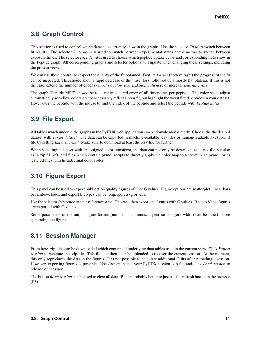## <span id="page-14-0"></span>**3.8 Graph Control**

This section is used to control which dataset is currently show in the graphs. Use the selector *Fit id* to switch between fit results. The selector *State name* is used to switch between experimental states and *exposure* to switch between exposure times. The selector *peptide id* is used to choose which peptide uptake curve and corresponding fit to show in the Peptide graph. All corresponding graphs and selector options will update when changing these settings, including the protein view.

We can use these control to inspect the quality of the fit obtained. First, at *Losses* (bottom right) the progress of the fit can be inspected. This should show a rapid decrease of the 'mse' loss, followed by a mostly flat plateau. If this is not the case, extend the number of epochs (*epochs* or *stop\_loss* and *Stop patience*) or increase *Learning rate*.

The graph 'Peptide MSE' shows the total mean squared error of all timepoints per peptide. The color scale adjust automatically so yellow colors do not necessarily reflect a poor fit, but highlight the worst fitted peptides in your dataset. Hover over the peptide with the mouse to find the index of the peptide and select the peptide with *Peptide index*.

## <span id="page-14-1"></span>**3.9 File Export**

All tables which underlie the graphs in the PyHDX web application can be downloaded directly. Choose the the desired dataset with *Target dataset*. The data can be exported in machine-readable .csv files or human-readable .txt (pprint) file by setting *Export format*. Make sure to download at least the .csv file for further.

When selecting a dataset with an assigned color transform, the data can not only be download as a .csv file but also as (a zip file of) .pml files which contain pymol scripts to directly apply the color map to a structure in pymol, or as .csv/.txt files with hexadecimal color codes.

## <span id="page-14-2"></span>**3.10 Figure Export**

This panel can be used to export publication quality figures of G or G values. Figure options are scatterplot, linear bars or rainbowclouds and export filetypes can be .png, .pdf, .svg or .eps.

Use the selector *Reference* to set a reference state. This will then export the figures with G values. If set to *None*, figures are exported with G values.

Some parameters of the output figure format (number of columns, aspect ratio, figure width) can be tuned before generating the figure.

## <span id="page-14-3"></span>**3.11 Session Manager**

From here .zip files can be downloaded which contain all underlying data tables used in the current view. Click *Export session* to generate the .zip file. This file can then later be uploaded to recover the current session. At the moment, this only reproduces the data in the figures. It is not possible to calculate additional G fits after reloading a session. However, exporting figures is possible. Use *Browse*, select your PyHDX session .zip file and click *Load session* to reload your session.

The button *Reset session* can be used to clear all data. But its probably better to just use the refresh button in the browser (F5).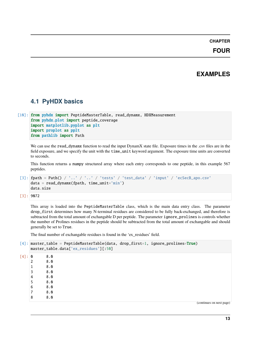### **CHAPTER**

### **FOUR**

### **EXAMPLES**

### <span id="page-16-1"></span><span id="page-16-0"></span>**4.1 PyHDX basics**

```
[10]: from pyhdx import PeptideMasterTable, read_dynamx, HDXMeasurement
      from pyhdx.plot import peptide_coverage
     import matplotlib.pyplot as plt
     import proplot as pplt
     from pathlib import Path
```
We can use the read\_dynamx function to read the input DynamX state file. Exposure times in the .csv files are in the field exposure, and we specify the unit with the time\_unit keyword argument. The exposure time units are converted to seconds.

This function returns a numpy structured array where each entry corresponds to one peptide, in this example 567 peptides.

```
[3]: fpath = Path() / '..' / '..' / 'tests' / 'test_data' / 'input' / 'eeSecB_apo.csv'data = read_dynamx(fpath, time_unit='min')
    data.size
```

```
[3]: 9072
```
This array is loaded into the PeptideMasterTable class, which is the main data entry class. The parameter drop\_first determines how many N-terminal residues are considered to be fully back-exchanged, and therefore is subtracted from the total amount of exchangable D per peptide. The parameter ignore\_prolines is controls whether the number of Prolines residues in the peptide should be subtracted from the total amount of exchangable and should generally be set to True.

The final number of exchangable residues is found in the 'ex\_residues' field.

```
[4]: master_table = PeptideMasterTable(data, drop_first=1, ignore_prolines=True)
    master_table.data['ex_residues'][:50]
[4]: 0 8.0
    2 8.0
    1 8.0
    3 8.0
    4 8.0
    5 8.0
    6 8.0
    7 8.0
    8 8.0
                                                                     (continues on next page)
```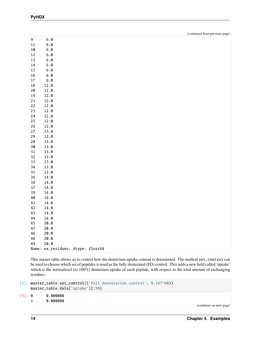|--|--|

| 9           | 6.0                               |  |
|-------------|-----------------------------------|--|
| $11\,$      | 6.0                               |  |
| 10          | 6.0                               |  |
| $12\,$      | 6.0                               |  |
| $13\,$      | 6.0                               |  |
| 14          | 6.0                               |  |
| $15\,$      | 6.0                               |  |
| $16\,$      | 6.0                               |  |
| $17\,$      | 6.0                               |  |
| $18\,$      | 12.0                              |  |
| $20$        | 12.0                              |  |
| $19\,$      | 12.0                              |  |
| $2\sqrt{1}$ | 12.0                              |  |
| 22          | 12.0                              |  |
| 23          | 12.0                              |  |
| 24          | 12.0                              |  |
| $25\,$      | 12.0                              |  |
| $26\,$      | 12.0                              |  |
| 27          | 13.0                              |  |
| $\bf 29$    | 13.0                              |  |
|             |                                   |  |
| $28\,$      | 13.0                              |  |
| $30$        | 13.0                              |  |
| 31          | 13.0                              |  |
| 32          | 13.0                              |  |
| 33          | 13.0                              |  |
| $34\,$      | 13.0                              |  |
| 35          | 13.0                              |  |
| $36\,$      | 14.0                              |  |
| $38\,$      | 14.0                              |  |
| 37          | 14.0                              |  |
| 39          | 14.0                              |  |
| 40          | 14.0                              |  |
| 41          | 14.0                              |  |
| 42          | 14.0                              |  |
| 43          | 14.0                              |  |
| 44          | 14.0                              |  |
| 45          | 20.0                              |  |
| 47          | 20.0                              |  |
| 46          | 20.0                              |  |
| $\bf 48$    | 20.0                              |  |
| 49          | 20.0                              |  |
|             | Name: ex_residues, dtype: float64 |  |
|             |                                   |  |

This master table allows us to control how the deuterium uptake content is determined. The method set\_control can be used to choose which set of peptides is used as the fully deuterated (FD) control. This adds a new field called 'uptake' which is the normalized (to 100%) deuterium uptake of each peptide, with respect to the total amount of exchanging residues.

```
[5]: master_table.set_control(('Full deuteration control', 0.167*60))
    master_table.data['uptake'][:50]
```

| $\lceil 5 \rceil$ : 0 | 0.000000 |
|-----------------------|----------|
|                       | 0.000000 |

(continues on next page)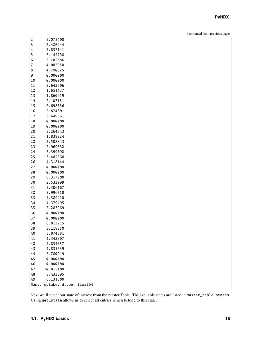(continued from previous page)

| 3<br>2.486444<br>4<br>2.857141<br>5<br>3.145738<br>6<br>3.785886<br>7<br>4.082950<br>8<br>4.790625<br>9<br>0.000000<br>0.000000<br>10<br>3.642506<br>11<br>12<br>1.651437<br>13<br>1.860919<br>14<br>2.107151<br>15<br>2.698036<br>16<br>2.874801<br>17<br>3.449561<br>0.000000<br>18<br>19<br>0.000000<br>20<br>5.264543<br>21<br>1.839924<br>22<br>2.508343<br>23<br>2.969332<br>24<br>3.399092<br>25<br>3.485568<br>26<br>4.318144<br>0.000000<br>27<br>0.000000<br>28<br>29<br>6.317900<br>30<br>2.532099<br>31<br>3.306167<br>32<br>3.996718<br>33<br>4.389410<br>34<br>4.379495<br>35<br>5.283969<br>36<br>0.000000<br>37<br>0.000000<br>6.812215<br>38<br>39<br>3.119850<br>3.874881<br>40<br>4.342807<br>41<br>42<br>4.854057<br>43<br>4.835639<br>44<br>5.780219<br>45<br>0.000000<br>46<br>0.000000 | 10.815100<br>47<br>5.432395<br>48<br>6.131800<br>49 | 2     | 5.073400       |         |
|---------------------------------------------------------------------------------------------------------------------------------------------------------------------------------------------------------------------------------------------------------------------------------------------------------------------------------------------------------------------------------------------------------------------------------------------------------------------------------------------------------------------------------------------------------------------------------------------------------------------------------------------------------------------------------------------------------------------------------------------------------------------------------------------------------------|-----------------------------------------------------|-------|----------------|---------|
|                                                                                                                                                                                                                                                                                                                                                                                                                                                                                                                                                                                                                                                                                                                                                                                                               |                                                     |       |                |         |
|                                                                                                                                                                                                                                                                                                                                                                                                                                                                                                                                                                                                                                                                                                                                                                                                               |                                                     |       |                |         |
|                                                                                                                                                                                                                                                                                                                                                                                                                                                                                                                                                                                                                                                                                                                                                                                                               |                                                     |       |                |         |
|                                                                                                                                                                                                                                                                                                                                                                                                                                                                                                                                                                                                                                                                                                                                                                                                               |                                                     |       |                |         |
|                                                                                                                                                                                                                                                                                                                                                                                                                                                                                                                                                                                                                                                                                                                                                                                                               |                                                     |       |                |         |
|                                                                                                                                                                                                                                                                                                                                                                                                                                                                                                                                                                                                                                                                                                                                                                                                               |                                                     |       |                |         |
|                                                                                                                                                                                                                                                                                                                                                                                                                                                                                                                                                                                                                                                                                                                                                                                                               |                                                     |       |                |         |
|                                                                                                                                                                                                                                                                                                                                                                                                                                                                                                                                                                                                                                                                                                                                                                                                               |                                                     |       |                |         |
|                                                                                                                                                                                                                                                                                                                                                                                                                                                                                                                                                                                                                                                                                                                                                                                                               |                                                     |       |                |         |
|                                                                                                                                                                                                                                                                                                                                                                                                                                                                                                                                                                                                                                                                                                                                                                                                               |                                                     |       |                |         |
|                                                                                                                                                                                                                                                                                                                                                                                                                                                                                                                                                                                                                                                                                                                                                                                                               |                                                     |       |                |         |
|                                                                                                                                                                                                                                                                                                                                                                                                                                                                                                                                                                                                                                                                                                                                                                                                               |                                                     |       |                |         |
|                                                                                                                                                                                                                                                                                                                                                                                                                                                                                                                                                                                                                                                                                                                                                                                                               |                                                     |       |                |         |
|                                                                                                                                                                                                                                                                                                                                                                                                                                                                                                                                                                                                                                                                                                                                                                                                               |                                                     |       |                |         |
|                                                                                                                                                                                                                                                                                                                                                                                                                                                                                                                                                                                                                                                                                                                                                                                                               |                                                     |       |                |         |
|                                                                                                                                                                                                                                                                                                                                                                                                                                                                                                                                                                                                                                                                                                                                                                                                               |                                                     |       |                |         |
|                                                                                                                                                                                                                                                                                                                                                                                                                                                                                                                                                                                                                                                                                                                                                                                                               |                                                     |       |                |         |
|                                                                                                                                                                                                                                                                                                                                                                                                                                                                                                                                                                                                                                                                                                                                                                                                               |                                                     |       |                |         |
|                                                                                                                                                                                                                                                                                                                                                                                                                                                                                                                                                                                                                                                                                                                                                                                                               |                                                     |       |                |         |
|                                                                                                                                                                                                                                                                                                                                                                                                                                                                                                                                                                                                                                                                                                                                                                                                               |                                                     |       |                |         |
|                                                                                                                                                                                                                                                                                                                                                                                                                                                                                                                                                                                                                                                                                                                                                                                                               |                                                     |       |                |         |
|                                                                                                                                                                                                                                                                                                                                                                                                                                                                                                                                                                                                                                                                                                                                                                                                               |                                                     |       |                |         |
|                                                                                                                                                                                                                                                                                                                                                                                                                                                                                                                                                                                                                                                                                                                                                                                                               |                                                     |       |                |         |
|                                                                                                                                                                                                                                                                                                                                                                                                                                                                                                                                                                                                                                                                                                                                                                                                               |                                                     |       |                |         |
|                                                                                                                                                                                                                                                                                                                                                                                                                                                                                                                                                                                                                                                                                                                                                                                                               |                                                     |       |                |         |
|                                                                                                                                                                                                                                                                                                                                                                                                                                                                                                                                                                                                                                                                                                                                                                                                               |                                                     |       |                |         |
|                                                                                                                                                                                                                                                                                                                                                                                                                                                                                                                                                                                                                                                                                                                                                                                                               |                                                     |       |                |         |
|                                                                                                                                                                                                                                                                                                                                                                                                                                                                                                                                                                                                                                                                                                                                                                                                               |                                                     |       |                |         |
|                                                                                                                                                                                                                                                                                                                                                                                                                                                                                                                                                                                                                                                                                                                                                                                                               |                                                     |       |                |         |
|                                                                                                                                                                                                                                                                                                                                                                                                                                                                                                                                                                                                                                                                                                                                                                                                               |                                                     |       |                |         |
|                                                                                                                                                                                                                                                                                                                                                                                                                                                                                                                                                                                                                                                                                                                                                                                                               |                                                     |       |                |         |
|                                                                                                                                                                                                                                                                                                                                                                                                                                                                                                                                                                                                                                                                                                                                                                                                               |                                                     |       |                |         |
|                                                                                                                                                                                                                                                                                                                                                                                                                                                                                                                                                                                                                                                                                                                                                                                                               |                                                     |       |                |         |
|                                                                                                                                                                                                                                                                                                                                                                                                                                                                                                                                                                                                                                                                                                                                                                                                               |                                                     |       |                |         |
|                                                                                                                                                                                                                                                                                                                                                                                                                                                                                                                                                                                                                                                                                                                                                                                                               |                                                     |       |                |         |
|                                                                                                                                                                                                                                                                                                                                                                                                                                                                                                                                                                                                                                                                                                                                                                                                               |                                                     |       |                |         |
|                                                                                                                                                                                                                                                                                                                                                                                                                                                                                                                                                                                                                                                                                                                                                                                                               |                                                     |       |                |         |
|                                                                                                                                                                                                                                                                                                                                                                                                                                                                                                                                                                                                                                                                                                                                                                                                               |                                                     |       |                |         |
|                                                                                                                                                                                                                                                                                                                                                                                                                                                                                                                                                                                                                                                                                                                                                                                                               |                                                     |       |                |         |
|                                                                                                                                                                                                                                                                                                                                                                                                                                                                                                                                                                                                                                                                                                                                                                                                               |                                                     |       |                |         |
|                                                                                                                                                                                                                                                                                                                                                                                                                                                                                                                                                                                                                                                                                                                                                                                                               |                                                     |       |                |         |
|                                                                                                                                                                                                                                                                                                                                                                                                                                                                                                                                                                                                                                                                                                                                                                                                               |                                                     |       |                |         |
|                                                                                                                                                                                                                                                                                                                                                                                                                                                                                                                                                                                                                                                                                                                                                                                                               |                                                     |       |                |         |
|                                                                                                                                                                                                                                                                                                                                                                                                                                                                                                                                                                                                                                                                                                                                                                                                               |                                                     |       |                |         |
|                                                                                                                                                                                                                                                                                                                                                                                                                                                                                                                                                                                                                                                                                                                                                                                                               |                                                     |       |                |         |
|                                                                                                                                                                                                                                                                                                                                                                                                                                                                                                                                                                                                                                                                                                                                                                                                               |                                                     |       |                |         |
|                                                                                                                                                                                                                                                                                                                                                                                                                                                                                                                                                                                                                                                                                                                                                                                                               |                                                     |       |                |         |
|                                                                                                                                                                                                                                                                                                                                                                                                                                                                                                                                                                                                                                                                                                                                                                                                               |                                                     | Name: | uptake, dtype: | float64 |

Next we'll select our state of interest from the master Table. The available states are listed in master\_table.states. Using get\_state allows us to select all entries which belong to this state.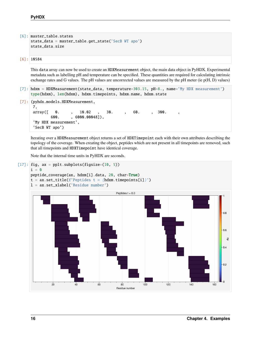```
[6]: master_table.states
    state_data = master_table.get_state('SecB WT apo')
    state_data.size
```
[6]: 10584

This data array can now be used to create an HDXMeasurement object, the main data object in PyHDX. Experimental metadata such as labelling pH and temperature can be specified. These quantities are required for calculating intrinsic exchange rates and G values. The pH values are uncorrected values are measured by the pH meter (ie p(H, D) values)

- [7]: hdxm = HDXMeasurement(state\_data, temperature=303.15, pH=8., name='My HDX measurement') type(hdxm), len(hdxm), hdxm.timepoints, hdxm.name, hdxm.state
- [7]: (pyhdx.models.HDXMeasurement,

```
7,
array([ 0. , 10.02 , 30. , 60. , 300.
      600. , 6000.00048]),
'My HDX measurement',
'SecB WT apo')
```
Iterating over a HDXMeasurement object returns a set of HDXTimepoint each with their own attributes describing the topology of the coverage. When creating the object, peptides which are not present in all timepoints are removed, such that all timepoints and HDXTimepoint have identical coverage.

Note that the internal time units in PyHDX are seconds.

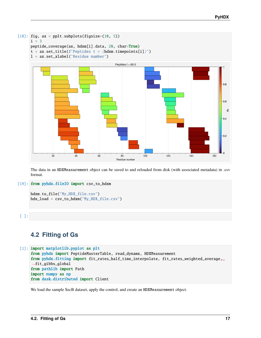

The data in an HDXMeasurement object can be saved to and reloaded from disk (with associated metadata) in .csv format.

#### [19]: from pyhdx.fileIO import csv\_to\_hdxm

```
hdxm.to_file('My_HDX_file.csv')
hdx_load = csv_to_hdxm('My_HDX_file.csv')
```
### [ ]:

## <span id="page-20-0"></span>**4.2 Fitting of Gs**

```
[1]: import matplotlib.pyplot as plt
    from pyhdx import PeptideMasterTable, read_dynamx, HDXMeasurement
    from pyhdx.fitting import fit_rates_half_time_interpolate, fit_rates_weighted_average,␣
     ˓→fit_gibbs_global
    from pathlib import Path
    import numpy as np
    from dask.distributed import Client
```
We load the sample SecB dataset, apply the control, and create an HDXMeasurement object.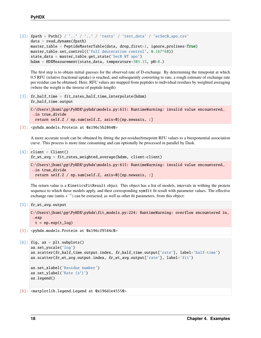```
[2]: fpath = Path() / '..' / '..' / '...' / 'tests' / 'test_data' / 'eCSecB_aopo.csv'data = read_dynamx(fpath)
    master_table = PeptideMasterTable(data, drop_first=1, ignore_prolines=True)
    master_table.set_control(('Full deuteration control', 0.167*60))
    state_data = master_table.get_state('SecB WT apo')
    hdxm = HDXMeasurement(state_data, temperature=303.15, pH=8.)
```
The first step is to obtain initial guesses for the observed rate of D-exchange. By determining the timepoint at which 0.5 RFU (relative fractional uptake) is reached, and subsequently converting to rate, a rough estimate of exchange rate per residue can be obtained. Here, RFU values are mapped from peptides to individual residues by weighted averaging (where the weight is the inverse of peptide length)

```
[3]: fr_half_time = fit_rates_half_time_interpolate(hdxm)
    fr_half_time.output
```

```
C:\Users\jhsmi\pp\PyHDX\pyhdx\models.py:615: RuntimeWarning: invalid value encountered␣
˓→in true_divide
  return self.Z / np.sum(self.Z, axis=0)[np.newaxis, :]
```

```
[3]: <pyhdx.models.Protein at 0x196c5b28640>
```
A more accurate result can be obtained by fitting the per-residue/timepoint RFU values to a biexponential association curve. This process is more time consuming and can optionally be processed in parallel by Dask.

```
[4]: client = Client()
    fr_wt_avg = fit_rates_weighted_average(hdxm, client=client)
```

```
C:\Users\jhsmi\pp\PyHDX\pyhdx\models.py:615: RuntimeWarning: invalid value encountered␣
\rightarrowin true divide
  return self.Z / np.sum(self.Z, axis=0)[np.newaxis, :]
```
The return value is a KineticsFitResult object. This object has a list of models, intervals in withing the protein sequence to which these models apply, and their corresponding symfit fit result with parameter values. The effective exchange rate (units  $s^{-1}$ ) can be extracted, as well as other fit parameters, from this object:

```
[5]: fr_wt_avg.output
```

```
C:\Users\jhsmi\pp\PyHDX\pyhdx\fit_models.py:224: RuntimeWarning: overflow encountered in␣
\leftrightarrowexp
 t = np.exp(t_{log})
```
[5]: <pyhdx.models.Protein at 0x196cf9544c0>

```
[6]: fig, ax = plt.subplots()
    ax.set_yscale('log')
    ax.scatter(fr_half_time.output.index, fr_half_time.output['rate'], label='half-time')
    ax.scatter(fr_wt_avg.output.index, fr_wt_avg.output['rate'], label='fit')
    ax.set_xlabel('Residue number')
    ax.set_ylabel('Rate (s<sup>1</sup>))ax.legend()
```
[6]: <matplotlib.legend.Legend at 0x196d1e45550>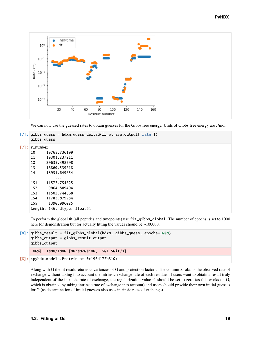

We can now use the guessed rates to obtain guesses for the Gibbs free energy. Units of Gibbs free energy are J/mol.

```
[7]: gibbs_guess = hdxm.guess_deltaG(fr_wt_avg.output['rate'])
     gibbs_guess
[7]: r_number
```

| т пишрет |                             |  |
|----------|-----------------------------|--|
| 1 N      | 19765.736199                |  |
| 11       | 19301.237211                |  |
| 12       | 20635.398598                |  |
| 13       | 16860.539218                |  |
| 14       | 18951.649654                |  |
|          |                             |  |
| 151      | 11573.754525                |  |
| 152      | 9064.889494                 |  |
| 153.     | 11502.744868                |  |
| 154      | 11783.079284                |  |
| 155      | 1390.996025                 |  |
|          | Length: 146. dtype: float64 |  |

To perform the global fit (all peptides and timepoints) use fit\_gibbs\_global. The number of epochs is set to 1000 here for demonstration but for actually fitting the values should be ~100000.

```
[8]: gibbs_result = fit_gibbs_global(hdxm, gibbs_guess, epochs=1000)
    gibbs_output = gibbs_result.output
    gibbs_output
    100%|| 1000/1000 [00:00<00:00, 1501.50it/s]
[8]: <pyhdx.models.Protein at 0x196d172b310>
```
Along with G the fit result returns covariances of G and protection factors. The column k\_obs is the observed rate of exchange without taking into account the intrinsic exchange rate of each residue. If users want to obtain a result truly independent of the intrinsic rate of exchange, the regularization value r1 should be set to zero (as this works on G, which is obtained by taking intrinsic rate of exchange into account) and users should provide their own initial guesses for G (as determination of initial guesses also uses intrinsic rates of exchange).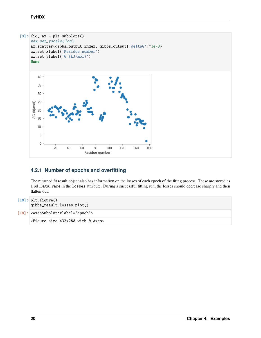

### **4.2.1 Number of epochs and overfitting**

The returned fit result object also has information on the losses of each epoch of the fittng process. These are stored as a pd.DataFrame in the losses attribute. During a successful fitting run, the losses should decrease sharply and then flatten out.

```
[10]: plt.figure()
      gibbs_result.losses.plot()
```

```
[10]: <AxesSubplot:xlabel='epoch'>
```
<Figure size 432x288 with 0 Axes>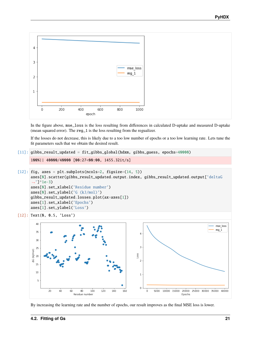

In the figure above, mse\_loss is the loss resulting from differences in calculated D-uptake and measured D-uptake (mean squared error). The reg\_1 is the loss resulting from the regualizer.

If the losses do not decrease, this is likely due to a too low number of epochs or a too low learning rate. Lets tune the fit parameters such that we obtain the desired result.

```
[11]: gibbs_result_updated = fit_gibbs_global(hdxm, gibbs_guess, epochs=40000)
```

```
100%|| 40000/40000 [00:27<00:00, 1455.32it/s]
```

```
[12]: fig, axes = plt.subplots(ncols=2, figsize=(14, 5))
      axes[0].scatter(gibbs_result_updated.output.index, gibbs_result_updated.output['deltaG
      \rightarrow']*1e-3)
      axes[0].set_xlabel('Residue number')
      axes[0].set_ylabel('G (kJ/mol)')
      gibbs_result_updated.losses.plot(ax=axes[1])
      axes[1].set_xlabel('Epochs')
      axes[1].set_ylabel('Loss')
```

```
[12]: Text(0, 0.5, 'Loss')
```


By increasing the learning rate and the number of epochs, our result improves as the final MSE loss is lower.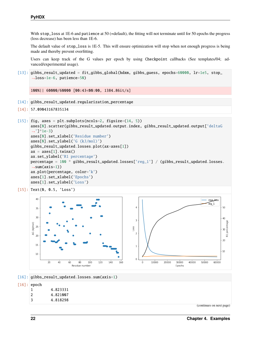With stop\_loss at 1E-6 and patience at 50 (=default), the fitting will not terminate until for 50 epochs the progress (loss decrease) has been less than 1E-6.

The default value of stop\_loss is 1E-5. This will ensure optimization will stop when not enough progress is being made and thereby prevent overfitting.

Users can keep track of the G values per epoch by using Checkpoint callbacks (See templates/04; advanced/experimental usage).

[13]: gibbs\_result\_updated = fit\_gibbs\_global(hdxm, gibbs\_guess, epochs=60000, lr=1e5, stop\_ ˓<sup>→</sup>loss=1e-6, patience=50)

100%|| 60000/60000 [00:43<00:00, 1384.86it/s]

- [14]: gibbs\_result\_updated.regularization\_percentage
- [14]: 57.09043167835134

```
[15]: fig, axes = plt.subplots(ncols=2, figsize=(14, 5))
      axes[0].scatter(gibbs_result_updated.output.index, gibbs_result_updated.output['deltaG
      \rightarrow']*1e-3)
      axes[0].set_xlabel('Residue number')
      axes[0].set_ylabel('G (kJ/mol)')
      gibbs_result_updated.losses.plot(ax=axes[1])
      ax = axes[1].twinx()ax.set_ylabel('R1 percentage')
      percentage = 100 * gibbs_result_updated.losses['reg_1'] / (gibbs_result_updated.losses.
      \rightarrowsum(axis=1))
      ax.plot(percentage, color='k')
      axes[1].set_xlabel('Epochs')
      axes[1].set_ylabel('Loss')
```
[15]: Text(0, 0.5, 'Loss')



[16]: gibbs\_result\_updated.losses.sum(axis=1)

#### [16]: epoch

| 1 | 4.823331 |
|---|----------|
| 2 | 4.821007 |
| 3 | 4.818298 |

(continues on next page)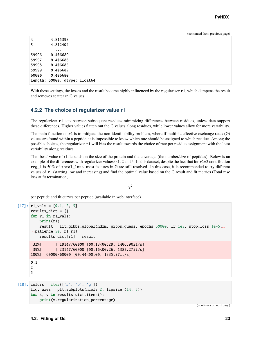(continued from previous page)

| 4     | 4.815398                      |
|-------|-------------------------------|
| 5     | 4.812404                      |
|       | .                             |
| 59996 | 0.406689                      |
| 59997 | 0.406686                      |
| 59998 | 0.406685                      |
| 59999 | 0.406682                      |
| 60000 | 0.406680                      |
|       | Length: 60000, dtype: float64 |

With these settings, the losses and the result become highly influenced by the regularizer r1, which dampens the result and removes scatter in G values.

#### **4.2.2 The choice of regularizer value r1**

The regularizer r1 acts between subsequent residues minimizing differences between residues, unless data support these differences. Higher values flatten out the G values along residues, while lower values allow for more variability.

The main function of r1 is to mitigate the non-identifiability problem, where if multiple effective exchange rates (G) values are found within a peptide, it is impossible to know which rate should be assigned to which residue. Among the possible choices, the regularizer r1 will bias the result towards the choice of rate per residue assignment with the least variability along residues.

The 'best' value of r1 depends on the size of the protein and the coverage, (the number/size of peptides). Below is an example of the differences with regularizer values  $0.1$ , 2 and 5. In this dataset, despite the fact that for  $r1=2$  contribution reg\_1 is 50% of total\_loss, most features in G are still resolved. In this case, it is recommended to try different values of r1 (starting low and increasing) and find the optimal value based on the G result and fit metrics (Total mse loss at fit termination,

#### $\chi^2$

per peptide and fit curves per peptide (available in web interface)

```
[17]: r1_value = [0.1, 2, 5]results_dict = \{ \}for r1 in r1_vals:
         print(r1)
         result = fit_gibbs_global(hdxm, gibbs_guess, epochs=60000, lr=1e5, stop_loss=1e-5,␣
      ˓→patience=50, r1=r1)
         results\_dict[r1] = result32%| | 19147/60000 [00:13<00:29, 1406.90it/s]
      39%| | 23147/60000 [00:16<00:26, 1385.27it/s]
      100%|| 60000/60000 [00:44<00:00, 1335.27it/s]
     0.1
     2
     5
```

```
[18]: colors = iter(['r', 'b', 'g'])
     fig, axes = plt.subplots(ncols=2, figsize=(14, 5))
     for k, v in results_dict.items():
          print(v.regularization_percentage)
```
(continues on next page)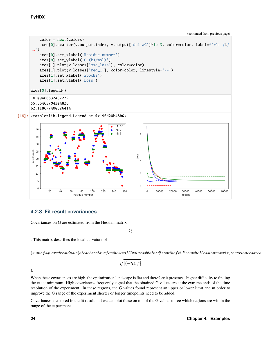(continued from previous page)

```
color = next<mark>(colors)</mark>axes[0] .scatter(v.output.index, v.output['deltaG']*1e-3, color-color, label=f'r1: {k}˓→')
    axes[0].set_xlabel('Residue number')
    axes[0].set_ylabel('G (kJ/mol)')
    axes[1].plot(v.losses['mse_loss'], color=color)
    axes[1].plot(v.losses['reg_1'], color=color, linestyle='--')
    axes[1].set_xlabel('Epochs')
    axes[1].set_ylabel('Loss')
axes[0].legend()
10.09466832487272
55.56463704204826
62.118677400826414
```
[18]: <matplotlib.legend.Legend at 0x196d20b48b0>



### **4.2.3 Fit result covariances**

Covariances on G are estimated from the Hessian matrix

 $\mathcal H$ 

. This matrix describes the local curvature of

 $(sum of squared residuals) at each residue for the set of G values obtained from the fit. From the Hessian matrix, covariance are defined in the set of G values obtained by the set of G values obtained by the set of G values obtained by the set of G values obtained by the set of G values obtained by the set of G values obtained by the set of G values obtained by the set of G values obtained by the set of G values obtained by the set of G values obtained by the set of G values obtained by the set of G values obtained by the set of G values.$ 

$$
\sqrt{\left|(-\mathcal{H})_{ii}^{-1}\right|}
$$

).

When these covariances are high, the optimization landscape is flat and therefore it presents a higher difficulty to finding the exact minimum. High covariances frequently signal that the obtained G values are at the extreme ends of the time resolution of the experiment. In these regions, the G values found represent an upper or lower limit and in order to improve the G range of the experiment shorter or longer timepoints need to be added.

Covariances are stored in the fit result and we can plot these on top of the G values to see which regions are within the range of the experiment.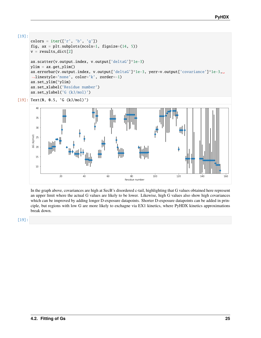

```
colors = iter([ 'r', 'b', 'g'])fig, ax = plt.subplots(ncols=1, figsize=(14, 5))
v = results_dict[2]ax.scatter(v.output.index, v.output['deltaG']*1e-3)
ylim = ax.get_ylim()ax.errorbar(v.output.index, v.output['deltaG']*1e-3, yerr=v.output['covariance']*1e-3,␣
˓→linestyle='none', color='k', zorder=-1)
ax.set_ylim(*ylim)
ax.set_xlabel('Residue number')
ax.set_ylabel('G (kJ/mol)')
```
[19]: Text(0, 0.5, 'G (kJ/mol)')



In the graph above, covariances are high at SecB's disordered c-tail, highlighting that G values obtained here represent an upper limit where the actual G values are likely to be lower. Likewise, high G values also show high covariances which can be improved by adding longer D-exposure datapoints. Shorter D-exposure datapoints can be added in principle, but regions with low G are more likely to exchagne via EX1 kinetics, where PyHDX kinetics approximations break down.

[19]: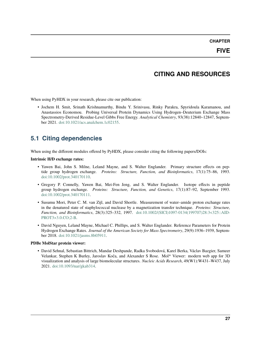#### **CHAPTER**

## **CITING AND RESOURCES**

<span id="page-30-0"></span>When using PyHDX in your research, please cite our publication:

• Jochem H. Smit, Srinath Krishnamurthy, Bindu Y. Srinivasu, Rinky Parakra, Spyridoula Karamanou, and Anastassios Economou. Probing Universal Protein Dynamics Using Hydrogen–Deuterium Exchange Mass Spectrometry-Derived Residue-Level Gibbs Free Energy. *Analytical Chemistry*, 93(38):12840–12847, September 2021. [doi:10.1021/acs.analchem.1c02155.](https://doi.org/10.1021/acs.analchem.1c02155)

## <span id="page-30-1"></span>**5.1 Citing dependencies**

When using the different modules offered by PyHDX, please consider citing the following papers/DOIs:

### **Intrinsic H/D exchange rates:**

- Yawen Bai, John S. Milne, Leland Mayne, and S. Walter Englander. Primary structure effects on peptide group hydrogen exchange. *Proteins: Structure, Function, and Bioinformatics*, 17(1):75–86, 1993. [doi:10.1002/prot.340170110.](https://doi.org/10.1002/prot.340170110)
- Gregory P. Connelly, Yawen Bai, Mei-Fen Jeng, and S. Walter Englander. Isotope effects in peptide group hydrogen exchange. *Proteins: Structure, Function, and Genetics*, 17(1):87–92, September 1993. [doi:10.1002/prot.340170111.](https://doi.org/10.1002/prot.340170111)
- Susumu Mori, Peter C. M. van Zijl, and David Shortle. Measurement of water–amide proton exchange rates in the denatured state of staphylococcal nuclease by a magnetization transfer technique. *Proteins: Structure, Function, and Bioinformatics*, 28(3):325–332, 1997. [doi:10.1002/\(SICI\)1097-0134\(199707\)28:3<325::AID-](https://doi.org/10.1002/(SICI)1097-0134(199707)28:3\T1\textless {}325::AID-PROT3\T1\textgreater {}3.0.CO;2-B)[PROT3>3.0.CO;2-B.](https://doi.org/10.1002/(SICI)1097-0134(199707)28:3\T1\textless {}325::AID-PROT3\T1\textgreater {}3.0.CO;2-B)
- David Nguyen, Leland Mayne, Michael C. Phillips, and S. Walter Englander. Reference Parameters for Protein Hydrogen Exchange Rates. *Journal of the American Society for Mass Spectrometry*, 29(9):1936–1939, September 2018. [doi:10.1021/jasms.8b05911.](https://doi.org/10.1021/jasms.8b05911)

### **PDBe MolStar protein viewer:**

• David Sehnal, Sebastian Bittrich, Mandar Deshpande, Radka Svobodová, Karel Berka, Václav Bazgier, Sameer Velankar, Stephen K Burley, Jaroslav Koča, and Alexander S Rose. Mol\* Viewer: modern web app for 3D visualization and analysis of large biomolecular structures. *Nucleic Acids Research*, 49(W1):W431–W437, July 2021. [doi:10.1093/nar/gkab314.](https://doi.org/10.1093/nar/gkab314)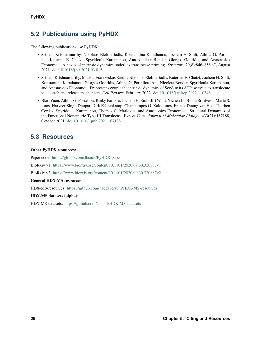## <span id="page-31-0"></span>**5.2 Publications using PyHDX**

The following publications use PyHDX:

- Srinath Krishnamurthy, Nikolaos Eleftheriadis, Konstantina Karathanou, Jochem H. Smit, Athina G. Portaliou, Katerina E. Chatzi, Spyridoula Karamanou, Ana-Nicoleta Bondar, Giorgos Gouridis, and Anastassios Economou. A nexus of intrinsic dynamics underlies translocase priming. *Structure*, 29(8):846–858.e7, August 2021. [doi:10.1016/j.str.2021.03.015.](https://doi.org/10.1016/j.str.2021.03.015)
- Srinath Krishnamurthy, Marios-Frantzeskos Sardis, Nikolaos Eleftheriadis, Katerina E. Chatzi, Jochem H. Smit, Konstantina Karathanou, Giorgos Gouridis, Athina G. Portaliou, Ana-Nicoleta Bondar, Spyridoula Karamanou, and Anastassios Economou. Preproteins couple the intrinsic dynamics of SecA to its ATPase cycle to translocate via a catch and release mechanism. *Cell Reports*, February 2022. [doi:10.1016/j.celrep.2022.110346.](https://doi.org/10.1016/j.celrep.2022.110346)
- Biao Yuan, Athina G. Portaliou, Rinky Parakra, Jochem H. Smit, Jiri Wald, Yichen Li, Bindu Srinivasu, Maria S. Loos, Harveer Singh Dhupar, Dirk Fahrenkamp, Charalampos G. Kalodimos, Franck Duong van Hoa, Thorben Cordes, Spyridoula Karamanou, Thomas C. Marlovits, and Anastassios Economou. Structural Dynamics of the Functional Nonameric Type III Translocase Export Gate. *Journal of Molecular Biology*, 433(21):167188, October 2021. [doi:10.1016/j.jmb.2021.167188.](https://doi.org/10.1016/j.jmb.2021.167188)

## <span id="page-31-1"></span>**5.3 Resources**

#### **Other PyHDX resources:**

Paper code: <https://github.com/Jhsmit/PyHDX-paper> BioRxiv v1: <https://www.biorxiv.org/content/10.1101/2020.09.30.320887v1> BioRxiv v2: <https://www.biorxiv.org/content/10.1101/2020.09.30.320887v2> **General HDX-MS resources:** HDX-MS-resources: <https://github.com/hadexversum/HDX-MS-resources>

#### **HDX-MS datasets (alpha):**

HDX-MS-datasets: <https://github.com/Jhsmit/HDX-MS-datasets>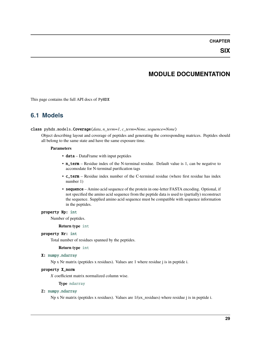### **CHAPTER**

**SIX**

### **MODULE DOCUMENTATION**

<span id="page-32-3"></span><span id="page-32-0"></span>This page contains the full API docs of PyHDX

### <span id="page-32-1"></span>**6.1 Models**

#### <span id="page-32-2"></span>class pyhdx.models.Coverage(*data*, *n\_term=1*, *c\_term=None*, *sequence=None*)

Object describing layout and coverage of peptides and generating the corresponding matrices. Peptides should all belong to the same state and have the same exposure time.

#### **Parameters**

- data DataFrame with input peptides
- n\_term Residue index of the N-terminal residue. Default value is 1, can be negative to accomodate for N-terminal purification tags
- c\_term Residue index number of the C-terminal residue (where first residue has index number 1)
- sequence Amino acid sequence of the protein in one-letter FASTA encoding. Optional, if not specified the amino acid sequence from the peptide data is used to (partially) reconstruct the sequence. Supplied amino acid sequence must be compatible with sequence information in the peptides.

#### property Np: [int](https://docs.python.org/3/library/functions.html#int)

Number of peptides.

#### **Return type** [int](https://docs.python.org/3/library/functions.html#int)

#### property Nr: [int](https://docs.python.org/3/library/functions.html#int)

Total number of residues spanned by the peptides.

#### **Return type** [int](https://docs.python.org/3/library/functions.html#int)

#### X: [numpy.ndarray](https://numpy.org/doc/stable/reference/generated/numpy.ndarray.html#numpy.ndarray)

Np x Nr matrix (peptides x residues). Values are 1 where residue j is in peptide i.

#### property X\_norm

*X* coefficient matrix normalized column wise.

#### **Type** [ndarray](https://numpy.org/doc/stable/reference/generated/numpy.ndarray.html#numpy.ndarray)

#### Z: [numpy.ndarray](https://numpy.org/doc/stable/reference/generated/numpy.ndarray.html#numpy.ndarray)

Np x Nr matrix (peptides x residues). Values are 1/(ex\_residues) where residue j is in peptide i.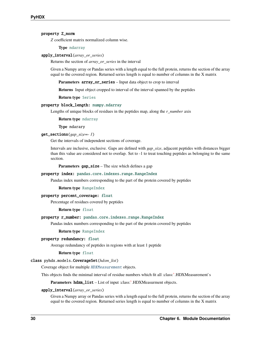#### <span id="page-33-0"></span>property Z\_norm

*Z* coefficient matrix normalized column wise.

**Type** [ndarray](https://numpy.org/doc/stable/reference/generated/numpy.ndarray.html#numpy.ndarray)

#### apply\_interval(*array\_or\_series*)

Returns the section of *array\_or\_series* in the interval

Given a Numpy array or Pandas series with a length equal to the full protein, returns the section of the array equal to the covered region. Returned series length is equal to number of columns in the X matrix

**Parameters array\_or\_series** – Input data object to crop to interval

**Returns** Input object cropped to interval of the interval spanned by the peptides

**Return type** [Series](https://pandas.pydata.org/docs/reference/api/pandas.Series.html#pandas.Series)

#### property block\_length: [numpy.ndarray](https://numpy.org/doc/stable/reference/generated/numpy.ndarray.html#numpy.ndarray)

Lengths of unique blocks of residues in the peptides map, along the *r\_number* axis

**Return type** [ndarray](https://numpy.org/doc/stable/reference/generated/numpy.ndarray.html#numpy.ndarray)

**Type** ndarary

#### get\_sections(*gap\_size=- 1*)

Get the intervals of independent sections of coverage.

Intervals are inclusive, exclusive. Gaps are defined with *gap\_size*, adjacent peptides with distances bigger than this value are considered not to overlap. Set to -1 to treat touching peptides as belonging to the same section.

**Parameters** gap\_size – The size which defines a gap

#### property index: [pandas.core.indexes.range.RangeIndex](https://pandas.pydata.org/docs/reference/api/pandas.RangeIndex.html#pandas.RangeIndex)

Pandas index numbers corresponding to the part of the protein covered by peptides

#### **Return type** [RangeIndex](https://pandas.pydata.org/docs/reference/api/pandas.RangeIndex.html#pandas.RangeIndex)

#### property percent\_coverage: [float](https://docs.python.org/3/library/functions.html#float)

Percentage of residues covered by peptides

**Return type** [float](https://docs.python.org/3/library/functions.html#float)

#### property r\_number: [pandas.core.indexes.range.RangeIndex](https://pandas.pydata.org/docs/reference/api/pandas.RangeIndex.html#pandas.RangeIndex)

Pandas index numbers corresponding to the part of the protein covered by peptides

#### **Return type** [RangeIndex](https://pandas.pydata.org/docs/reference/api/pandas.RangeIndex.html#pandas.RangeIndex)

#### property redundancy: [float](https://docs.python.org/3/library/functions.html#float)

Average redundancy of peptides in regions with at least 1 peptide

#### **Return type** [float](https://docs.python.org/3/library/functions.html#float)

#### class pyhdx.models.CoverageSet(*hdxm\_list*)

Coverage object for multiple [HDXMeasurement](#page-34-0) objects.

This objects finds the minimal interval of residue numbers which fit all :class:**`**.HDXMeasurement`s

**Parameters** hdxm\_list – List of input :class:**`**.HDXMeasurment objects.

#### apply\_interval(*array\_or\_series*)

Given a Numpy array or Pandas series with a length equal to the full protein, returns the section of the array equal to the covered region. Returned series length is equal to number of columns in the X matrix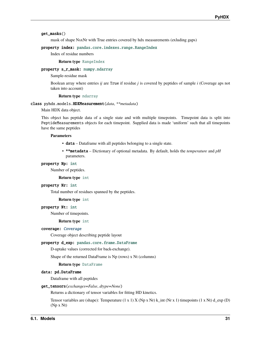#### <span id="page-34-1"></span>get\_masks()

mask of shape NsxNr with True entries covered by hdx measurements (exluding gaps)

#### property index: [pandas.core.indexes.range.RangeIndex](https://pandas.pydata.org/docs/reference/api/pandas.RangeIndex.html#pandas.RangeIndex)

Index of residue numbers

#### **Return type** [RangeIndex](https://pandas.pydata.org/docs/reference/api/pandas.RangeIndex.html#pandas.RangeIndex)

#### property s\_r\_mask: [numpy.ndarray](https://numpy.org/doc/stable/reference/generated/numpy.ndarray.html#numpy.ndarray)

Sample-residue mask

Boolean array where entries *ij* are True if residue *j* is covered by peptides of sample *i* (Coverage aps not taken into account)

#### **Return type** [ndarray](https://numpy.org/doc/stable/reference/generated/numpy.ndarray.html#numpy.ndarray)

#### <span id="page-34-0"></span>class pyhdx.models.HDXMeasurement(*data*, *\*\*metadata*)

Main HDX data object.

This object has peptide data of a single state and with multiple timepoints. Timepoint data is split into PeptideMeasurements objects for each timepoint. Supplied data is made 'uniform' such that all timepoints have the same peptides

#### **Parameters**

- data Dataframe with all peptides belonging to a single state.
- \*\*metadata Dictionary of optional metadata. By default, holds the *temperature* and *pH* parameters.

#### property Np: [int](https://docs.python.org/3/library/functions.html#int)

Number of peptides.

#### **Return type** [int](https://docs.python.org/3/library/functions.html#int)

#### property Nr: [int](https://docs.python.org/3/library/functions.html#int)

Total number of residues spanned by the peptides.

#### **Return type** [int](https://docs.python.org/3/library/functions.html#int)

#### property Nt: [int](https://docs.python.org/3/library/functions.html#int)

Number of timepoints.

#### **Return type** [int](https://docs.python.org/3/library/functions.html#int)

#### coverage: [Coverage](#page-32-2)

Coverage object describing peptide layout

#### property d\_exp: [pandas.core.frame.DataFrame](https://pandas.pydata.org/docs/reference/api/pandas.DataFrame.html#pandas.DataFrame)

D-uptake values (corrected for back-exchange).

Shape of the returned DataFrame is Np (rows) x Nt (columns)

#### **Return type** [DataFrame](https://pandas.pydata.org/docs/reference/api/pandas.DataFrame.html#pandas.DataFrame)

#### data: pd.DataFrame

Dataframe with all peptides

#### get\_tensors(*exchanges=False*, *dtype=None*)

Returns a dictionary of tensor variables for fitting HD kinetics.

Tensor variables are (shape): Temperature (1 x 1) X (Np x Nr) k\_int (Nr x 1) timepoints (1 x Nt) d\_exp (D) (Np x Nt)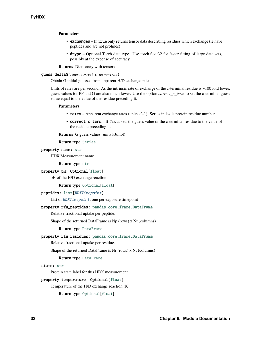#### <span id="page-35-1"></span>**Parameters**

- exchanges If True only returns tensor data describing residues which exchange (ie have peptides and are not prolines)
- dtype Optional Torch data type. Use torch.float32 for faster fitting of large data sets, possibly at the expense of accuracy

**Returns** Dictionary with tensors

#### <span id="page-35-0"></span>guess\_deltaG(*rates*, *correct\_c\_term=True*)

Obtain G initial guesses from apparent H/D exchange rates.

Units of rates are per second. As the intrinsic rate of exchange of the c-terminal residue is ~100 fold lower, guess values for PF and G are also much lower. Use the option *correct\_c\_term* to set the c-terminal guess value equal to the value of the residue preceding it.

#### **Parameters**

- rates Apparent exchange rates (units s<sup> $\wedge$ </sup>-1). Series index is protein residue number.
- **correct\_c\_term** If True, sets the guess value of the c-terminal residue to the value of the residue preceding it.

**Returns** G guess values (units kJ/mol)

#### **Return type** [Series](https://pandas.pydata.org/docs/reference/api/pandas.Series.html#pandas.Series)

#### property name: [str](https://docs.python.org/3/library/stdtypes.html#str)

HDX Measurement name

**Return type** [str](https://docs.python.org/3/library/stdtypes.html#str)

#### property pH: Optional[\[float\]](https://docs.python.org/3/library/functions.html#float)

pH of the H/D exchange reaction.

#### **Return type** [Optional](https://docs.python.org/3/library/typing.html#typing.Optional)[[float](https://docs.python.org/3/library/functions.html#float)]

#### peptides: [list\[](https://docs.python.org/3/library/stdtypes.html#list)[HDXTimepoint](#page-37-0)]

List of [HDXTimepoint](#page-37-0), one per exposure timepoint

#### property rfu\_peptides: [pandas.core.frame.DataFrame](https://pandas.pydata.org/docs/reference/api/pandas.DataFrame.html#pandas.DataFrame)

Relative fractional uptake per peptide.

Shape of the returned DataFrame is Np (rows) x Nt (columns)

#### **Return type** [DataFrame](https://pandas.pydata.org/docs/reference/api/pandas.DataFrame.html#pandas.DataFrame)

#### property rfu\_residues: [pandas.core.frame.DataFrame](https://pandas.pydata.org/docs/reference/api/pandas.DataFrame.html#pandas.DataFrame)

Relative fractional uptake per residue.

Shape of the returned DataFrame is Nr (rows) x Nt (columns)

#### **Return type** [DataFrame](https://pandas.pydata.org/docs/reference/api/pandas.DataFrame.html#pandas.DataFrame)

#### state: [str](https://docs.python.org/3/library/stdtypes.html#str)

Protein state label for this HDX measurement

#### property temperature: Optional[\[float\]](https://docs.python.org/3/library/functions.html#float)

Temperature of the H/D exchange reaction (K).

#### **Return type** [Optional](https://docs.python.org/3/library/typing.html#typing.Optional)[[float](https://docs.python.org/3/library/functions.html#float)]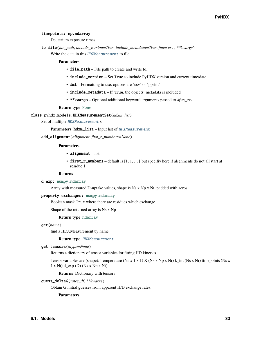#### <span id="page-36-1"></span>timepoints: np.ndarray

Deuterium exposure times

to\_file(*file\_path*, *include\_version=True*, *include\_metadata=True*, *fmt='csv'*, *\*\*kwargs*) Write the data in this [HDXMeasurement](#page-34-0) to file.

#### **Parameters**

- file\_path File path to create and write to.
- include\_version Set True to include PyHDX version and current time/date
- fmt Formatting to use, options are 'csv' or 'pprint'
- include\_metadata If True, the objects' metadata is included
- \*\*kwargs Optional additional keyword arguments passed to *df.to\_csv*

#### **Return type** [None](https://docs.python.org/3/library/constants.html#None)

<span id="page-36-0"></span>class pyhdx.models.HDXMeasurementSet(*hdxm\_list*)

Set of multiple [HDXMeasurement](#page-34-0) s

Parameters hdxm\_list – Input list of [HDXMeasurement](#page-34-0)

add\_alignment(*alignment*, *first\_r\_numbers=None*)

#### **Parameters**

- alignment list
- first\_r\_numbers default is  $[1, 1, \ldots]$  but specifiy here if alignments do not all start at residue 1

#### **Returns**

#### d\_exp: [numpy.ndarray](https://numpy.org/doc/stable/reference/generated/numpy.ndarray.html#numpy.ndarray)

Array with measured D-uptake values, shape is Ns x Np x Nt, padded with zeros.

#### property exchanges: [numpy.ndarray](https://numpy.org/doc/stable/reference/generated/numpy.ndarray.html#numpy.ndarray)

Boolean mask True where there are residues which exchange

Shape of the returned array is Ns x Np

#### **Return type** [ndarray](https://numpy.org/doc/stable/reference/generated/numpy.ndarray.html#numpy.ndarray)

#### get(*name*)

find a HDXMeasurement by name

#### **Return type** [HDXMeasurement](#page-34-0)

#### get\_tensors(*dtype=None*)

Returns a dictionary of tensor variables for fitting HD kinetics.

Tensor variables are (shape): Temperature (Ns x 1 x 1) X (Ns x Np x Nr) k\_int (Ns x Nr) timepoints (Ns x  $1 x Nt$ ) d\_exp (D) (Ns x Np x Nt)

**Returns** Dictionary with tensors

#### guess\_deltaG(*rates\_df*, *\*\*kwargs*)

Obtain G initial guesses from apparent H/D exchange rates.

**Parameters**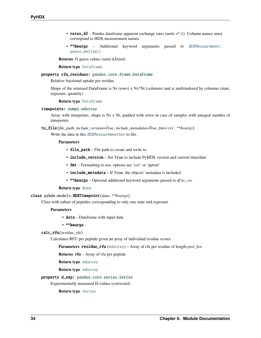- <span id="page-37-1"></span>• rates\_df – Pandas dataframe apparent exchange rates (units  $s^{\wedge}$ -1). Column names must correspond to HDX measurement names.
- \*\* kwargs Additional keyword arguments passed to [HDXMeasurement.](#page-35-0) [guess\\_deltaG\(\)](#page-35-0)

**Returns** G guess values (units kJ/mol)

**Return type** [DataFrame](https://pandas.pydata.org/docs/reference/api/pandas.DataFrame.html#pandas.DataFrame)

#### property rfu\_residues: [pandas.core.frame.DataFrame](https://pandas.pydata.org/docs/reference/api/pandas.DataFrame.html#pandas.DataFrame)

Relative fractional uptake per residue.

Shape of the returned DataFrame is Nr (rows) x Ns\*Nt (columns) and is multiindexed by columns (state, exposure, quantity)

#### **Return type** [DataFrame](https://pandas.pydata.org/docs/reference/api/pandas.DataFrame.html#pandas.DataFrame)

#### timepoints: [numpy.ndarray](https://numpy.org/doc/stable/reference/generated/numpy.ndarray.html#numpy.ndarray)

Array with timepoints, shape is Ns x Nt, padded with zeros in case of samples with unequal number of timepoints

to\_file(*file\_path*, *include\_version=True*, *include\_metadata=True*, *fmt='csv'*, *\*\*kwargs*) Write the data in this [HDXMeasurementSet](#page-36-0) to file.

#### **Parameters**

- file\_path File path to create and write to.
- include\_version Set True to include PyHDX version and current time/date
- fmt Formatting to use, options are 'csv' or 'pprint'
- include\_metadata If True, the objects' metadata is included
- \*\*kwargs Optional additional keyword arguments passed to *df.to\_csv*

#### **Return type** [None](https://docs.python.org/3/library/constants.html#None)

#### <span id="page-37-0"></span>class pyhdx.models.HDXTimepoint(*data*, *\*\*kwargs*)

Class with subset of peptides corresponding to only one state and exposure

#### **Parameters**

- **data** Dataframe with input data
- \*\*kwargs –

#### calc\_rfu(*residue\_rfu*)

Calculates RFU per peptide given an array of individual residue scores

**Parameters** residue\_rfu ([ndarray](https://numpy.org/doc/stable/reference/generated/numpy.ndarray.html#numpy.ndarray)) – Array of rfu per residue of length *prot\_len*

**Returns rfu** – Array of rfu per peptide

**Return type** [ndarray](https://numpy.org/doc/stable/reference/generated/numpy.ndarray.html#numpy.ndarray)

**Return type** [ndarray](https://numpy.org/doc/stable/reference/generated/numpy.ndarray.html#numpy.ndarray)

#### property d\_exp: [pandas.core.series.Series](https://pandas.pydata.org/docs/reference/api/pandas.Series.html#pandas.Series)

Experimentally measured D-values (corrected)

#### **Return type** [Series](https://pandas.pydata.org/docs/reference/api/pandas.Series.html#pandas.Series)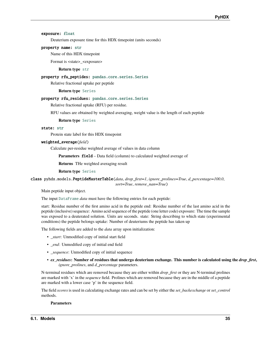#### <span id="page-38-0"></span>exposure: [float](https://docs.python.org/3/library/functions.html#float)

Deuterium exposure time for this HDX timepoint (units seconds)

#### property name: [str](https://docs.python.org/3/library/stdtypes.html#str)

Name of this HDX timepoint

Format is <state> <exposure>

#### **Return type** [str](https://docs.python.org/3/library/stdtypes.html#str)

#### property rfu\_peptides: [pandas.core.series.Series](https://pandas.pydata.org/docs/reference/api/pandas.Series.html#pandas.Series)

Relative fractional uptake per peptide

#### **Return type** [Series](https://pandas.pydata.org/docs/reference/api/pandas.Series.html#pandas.Series)

#### property rfu\_residues: [pandas.core.series.Series](https://pandas.pydata.org/docs/reference/api/pandas.Series.html#pandas.Series)

Relative fractional uptake (RFU) per residue.

RFU values are obtained by weighted averaging, weight value is the length of each peptide

#### **Return type** [Series](https://pandas.pydata.org/docs/reference/api/pandas.Series.html#pandas.Series)

#### state: [str](https://docs.python.org/3/library/stdtypes.html#str)

Protein state label for this HDX timepoint

#### weighted\_average(*field*)

Calculate per-residue weighted average of values in data column

**Parameters field** – Data field (column) to calculated weighted average of

**Returns** THe weighted averaging result

#### **Return type** [Series](https://pandas.pydata.org/docs/reference/api/pandas.Series.html#pandas.Series)

class pyhdx.models.PeptideMasterTable(*data*, *drop\_first=1*, *ignore\_prolines=True*, *d\_percentage=100.0*, *sort=True*, *remove\_nan=True*)

Main peptide input object.

The input [DataFrame](https://pandas.pydata.org/docs/reference/api/pandas.DataFrame.html#pandas.DataFrame) *data* must have the following entries for each peptide:

start: Residue number of the first amino acid in the peptide end: Residue number of the last amino acid in the peptide (inclusive) sequence: Amino acid sequence of the peptide (one letter code) exposure: The time the sample was exposed to a deuterated solution. Units are seconds. state: String describing to which state (experimental conditions) the peptide belongs uptake: Number of deuteriums the peptide has taken up

The following fields are added to the *data* array upon initialization:

- *\_start*: Unmodified copy of initial start field
- *\_end*: Unmodified copy of initial end field
- *sequence*: Unmodified copy of initial sequence
- *ex\_residues***: Number of residues that undergo deuterium exchange. This number is calculated using the** *drop\_first***,** *ignore\_prolines*, and *d\_percentage* parameters.

N-terminal residues which are removed because they are either within *drop\_first* or they are N-terminal prolines are marked with 'x' in the *sequence* field. Prolines which are removed because they are in the middle of a peptide are marked with a lower case 'p' in the sequence field.

The field *scores* is used in calculating exchange rates and can be set by either the *set\_backexchange* or *set\_control* methods.

#### **Parameters**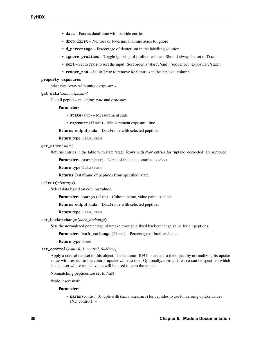- <span id="page-39-0"></span>• data – Pandas dataframe with peptide entries
- drop\_first Number of N-terminal amino acids to ignore
- d\_percentage Percentage of deuterium in the labelling solution
- ignore\_prolines Toggle ignoring of proline residues. Should always be set to True
- sort Set to True to sort the input. Sort order is 'start', 'end', 'sequence', 'exposure', 'state'.
- **remove\_nan** Set to True to remove NaN entries in the 'uptake' column

#### property exposures

[ndarray](https://numpy.org/doc/stable/reference/generated/numpy.ndarray.html#numpy.ndarray) Array with unique exposures

#### get\_data(*state*, *exposure*)

Get all peptides matching *state* and *exposure*.

#### **Parameters**

- state ([str](https://docs.python.org/3/library/stdtypes.html#str)) Measurement state
- exposure ([float](https://docs.python.org/3/library/functions.html#float)) Measurement exposure time

**Returns output\_data** – DataFrame with selected peptides

**Return type** [DataFrame](https://pandas.pydata.org/docs/reference/api/pandas.DataFrame.html#pandas.DataFrame)

#### get\_state(*state*)

Returns entries in the table with state 'state' Rows with *NaN* entries for 'uptake\_corrected' are removed

**Parameters state** ([str](https://docs.python.org/3/library/stdtypes.html#str)) – Name of the 'state' entries to select

**Return type** [DataFrame](https://pandas.pydata.org/docs/reference/api/pandas.DataFrame.html#pandas.DataFrame)

**Returns** Dataframe of peptides from specified 'state'

#### select(*\*\*kwargs*)

Select data based on column values.

Parameters kwargs ([dict](https://docs.python.org/3/library/stdtypes.html#dict)) – Column name, value pairs to select

**Returns output\_data** – DataFrame with selected peptides

**Return type** [DataFrame](https://pandas.pydata.org/docs/reference/api/pandas.DataFrame.html#pandas.DataFrame)

#### set\_backexchange(*back\_exchange*)

Sets the normalized percentage of uptake through a fixed backexchange value for all peptides.

**Parameters back\_exchange** ([float](https://docs.python.org/3/library/functions.html#float)) – Percentage of back exchange

#### **Return type** [None](https://docs.python.org/3/library/constants.html#None)

#### set\_control(*control\_1*, *control\_0=None*)

Apply a control dataset to this object. The column 'RFU' is added to the object by normalizing its uptake value with respect to the control uptake value to one. Optionally, control\_zero can be specified which is a dataset whose uptake value will be used to zero the uptake.

Nonmatching peptides are set to NaN

#todo insert math

#### **Parameters**

• **param** (control 0: tuple with (*state*, *exposure*) for peptides to use for zeroing uptake values  $(ND control)$  –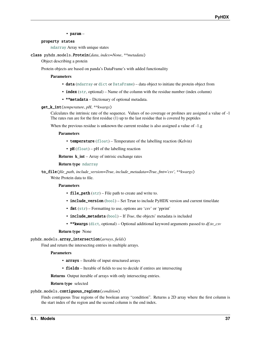• param –

#### <span id="page-40-1"></span>property states

[ndarray](https://numpy.org/doc/stable/reference/generated/numpy.ndarray.html#numpy.ndarray) Array with unique states

#### <span id="page-40-0"></span>class pyhdx.models.Protein(*data*, *index=None*, *\*\*metadata*)

Object describing a protein

Protein objects are based on panda's DataFrame's with added functionality

#### **Parameters**

- data ([ndarray](https://numpy.org/doc/stable/reference/generated/numpy.ndarray.html#numpy.ndarray) or [dict](https://docs.python.org/3/library/stdtypes.html#dict) or [DataFrame](https://pandas.pydata.org/docs/reference/api/pandas.DataFrame.html#pandas.DataFrame)) data object to initiate the protein object from
- index ([str](https://docs.python.org/3/library/stdtypes.html#str), optional) Name of the column with the residue number (index column)
- \*\*metadata Dictionary of optional metadata.

#### get\_k\_int(*temperature*, *pH*, *\*\*kwargs*)

Calculates the intrinsic rate of the sequence. Values of no coverage or prolines are assigned a value of -1 The rates run are for the first residue  $(1)$  up to the last residue that is covered by peptides

When the previous residue is unknown the current residue is also assigned a value of -1.g

#### **Parameters**

- temperature ([float](https://docs.python.org/3/library/functions.html#float)) Temperature of the labelling reaction (Kelvin)
- $pH$  ([float](https://docs.python.org/3/library/functions.html#float))  $pH$  of the labelling reaction

**Returns k\_int** – Array of intrisic exchange rates

#### **Return type** [ndarray](https://numpy.org/doc/stable/reference/generated/numpy.ndarray.html#numpy.ndarray)

to\_file(*file\_path*, *include\_version=True*, *include\_metadata=True*, *fmt='csv'*, *\*\*kwargs*) Write Protein data to file.

#### **Parameters**

- file\_path ([str](https://docs.python.org/3/library/stdtypes.html#str)) File path to create and write to.
- include\_version ([bool](https://docs.python.org/3/library/functions.html#bool)) Set True to include PyHDX version and current time/date
- **fmt** ([str](https://docs.python.org/3/library/stdtypes.html#str)) Formatting to use, options are 'csv' or 'pprint'
- include\_metadata ([bool](https://docs.python.org/3/library/functions.html#bool)) If *True*, the objects' metadata is included
- \*\*kwargs ([dict](https://docs.python.org/3/library/stdtypes.html#dict), optional) Optional additional keyword arguments passed to *df.to\_csv*

#### **Return type** None

#### pyhdx.models.array\_intersection(*arrays*, *fields*)

Find and return the intersecting entries in multiple arrays.

#### **Parameters**

- arrays Iterable of input structured arrays
- **fields** Iterable of fields to use to decide if entires are intersecting

**Returns** Output iterable of arrays with only intersecting entries.

#### **Return type** selected

#### pyhdx.models.contiguous\_regions(*condition*)

Finds contiguous True regions of the boolean array "condition". Returns a 2D array where the first column is the start index of the region and the second column is the end index.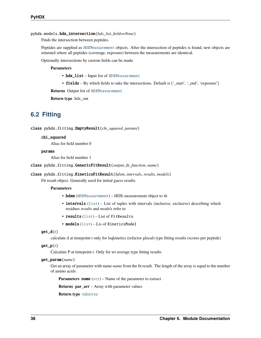<span id="page-41-2"></span>pyhdx.models.hdx\_intersection(*hdx\_list*, *fields=None*)

Finds the intersection between peptides.

Peptides are supplied as [HDXMeasurement](#page-34-0) objects. After the intersection of peptides is found, new objects are returned where all peptides (coverage, exposure) between the measurements are identical.

Optionally intersections by custom fields can be made.

#### **Parameters**

- hdx\_list Input list of [HDXMeasurement](#page-34-0)
- **fields** By which fields to take the intersections. Default is  $['_start', '_end', 'exposure']$

**Returns** Output list of [HDXMeasurement](#page-34-0)

**Return type** hdx\_out

## <span id="page-41-0"></span>**6.2 Fitting**

class pyhdx.fitting.EmptyResult(*chi\_squared*, *params*)

#### chi\_squared

Alias for field number 0

#### params

Alias for field number 1

class pyhdx.fitting.GenericFitResult(*output*, *fit\_function*, *name*)

#### <span id="page-41-1"></span>class pyhdx.fitting.KineticsFitResult(*hdxm*, *intervals*, *results*, *models*)

Fit result object. Generally used for initial guess results.

#### **Parameters**

- $\text{hdxm}$  ([HDXMeasurement](#page-34-0)) HDX measurement object to fit
- intervals ([list](https://docs.python.org/3/library/stdtypes.html#list)) List of tuples with intervals (inclusive, exclusive) describing which residues *results* and *models* refer to
- results ([list](https://docs.python.org/3/library/stdtypes.html#list)) List of FitResults
- models ([list](https://docs.python.org/3/library/stdtypes.html#list)) Lis of KineticsModel

#### get\_d(*t*)

calculate d at timepoint t only for lsqkinetics (refactor glocal) type fitting results (scores per peptide)

#### get\_p(*t*)

Calculate P at timepoint t. Only for wt average type fitting results

#### get\_param(*name*)

Get an array of parameter with name *name* from the fit result. The length of the array is equal to the number of amino acids.

**Parameters name** ([str](https://docs.python.org/3/library/stdtypes.html#str)) – Name of the parameter to extract

**Returns par\_arr** – Array with parameter values

**Return type** [ndarray](https://numpy.org/doc/stable/reference/generated/numpy.ndarray.html#numpy.ndarray)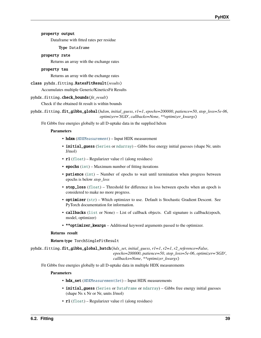#### <span id="page-42-0"></span>property output

Dataframe with fitted rates per residue

**Type** Dataframe

#### property rate

Returns an array with the exchange rates

#### property tau

Returns an array with the exchange rates

#### class pyhdx.fitting.RatesFitResult(*results*)

Accumulates multiple Generic/KineticsFit Results

#### pyhdx.fitting.check\_bounds(*fit\_result*)

Check if the obtained fit result is within bounds

```
pyhdx.fitting.fit_gibbs_global(hdxm, initial_guess, r1=1, epochs=200000, patience=50, stop_loss=5e-06,
                                    optimizer='SGD', callbacks=None, **optimizer_kwargs)
```
Fit Gibbs free energies globally to all D-uptake data in the supplied hdxm

#### **Parameters**

- hdxm ([HDXMeasurement](#page-34-0)) Input HDX measurement
- **initial\_quess** ([Series](https://pandas.pydata.org/docs/reference/api/pandas.Series.html#pandas.Series) or [ndarray](https://numpy.org/doc/stable/reference/generated/numpy.ndarray.html#numpy.ndarray)) Gibbs free energy initial guesses (shape Nr, units J/mol)
- r1 ([float](https://docs.python.org/3/library/functions.html#float)) Regularizer value r1 (along residues)
- epochs  $(int)$  $(int)$  $(int)$  Maximum number of fitting iterations
- **patience** ([int](https://docs.python.org/3/library/functions.html#int)) Number of epochs to wait until termination when progress between epochs is below *stop\_loss*
- stop\_loss ([float](https://docs.python.org/3/library/functions.html#float)) Threshold for difference in loss between epochs when an epoch is considered to make no more progress.
- optimizer ([str](https://docs.python.org/3/library/stdtypes.html#str)) Which optimizer to use. Default is Stochastic Gradient Descent. See PyTorch documentation for information.
- callbacks ([list](https://docs.python.org/3/library/stdtypes.html#list) or None) List of callback objects. Call signature is callback(epoch, model, optimizer)
- \*\*optimizer\_kwargs Additional keyword arguments passed to the optimizer.

#### **Returns result**

#### **Return type** TorchSingleFitResult

pyhdx.fitting.fit\_gibbs\_global\_batch(*hdx\_set*, *initial\_guess*, *r1=1*, *r2=1*, *r2\_reference=False*, *epochs=200000*, *patience=50*, *stop\_loss=5e-06*, *optimizer='SGD'*, *callbacks=None*, *\*\*optimizer\_kwargs*)

Fit Gibbs free energies globally to all D-uptake data in multiple HDX measurements

#### **Parameters**

- hdx\_set ([HDXMeasurementSet](#page-36-0)) Input HDX measurements
- initial\_guess ([Series](https://pandas.pydata.org/docs/reference/api/pandas.Series.html#pandas.Series) or [DataFrame](https://pandas.pydata.org/docs/reference/api/pandas.DataFrame.html#pandas.DataFrame) or [ndarray](https://numpy.org/doc/stable/reference/generated/numpy.ndarray.html#numpy.ndarray)) Gibbs free energy initial guesses (shape Ns x Nr or Nr, units J/mol)
- **r1** ([float](https://docs.python.org/3/library/functions.html#float)) Regularizer value r1 (along residues)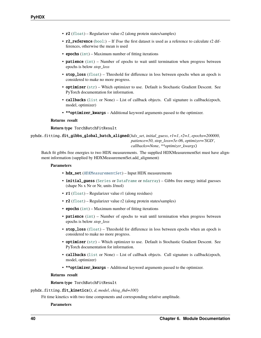- <span id="page-43-0"></span>• r2 ([float](https://docs.python.org/3/library/functions.html#float)) – Regularizer value r2 (along protein states/samples)
- r2\_reference ([bool](https://docs.python.org/3/library/functions.html#bool):) If *True* the first dataset is used as a reference to calculate r2 differences, otherwise the mean is used
- epochs  $(int)$  $(int)$  $(int)$  Maximum number of fitting iterations
- **patience** ([int](https://docs.python.org/3/library/functions.html#int)) Number of epochs to wait until termination when progress between epochs is below *stop\_loss*
- stop\_loss ([float](https://docs.python.org/3/library/functions.html#float)) Threshold for difference in loss between epochs when an epoch is considered to make no more progress.
- **optimizer** ([str](https://docs.python.org/3/library/stdtypes.html#str)) Which optimizer to use. Default is Stochastic Gradient Descent. See PyTorch documentation for information.
- callbacks ([list](https://docs.python.org/3/library/stdtypes.html#list) or None) List of callback objects. Call signature is callback(epoch, model, optimizer)
- \*\*optimizer\_kwargs Additional keyword arguments passed to the optimizer.

#### **Returns result**

**Return type** TorchBatchFitResult

pyhdx.fitting.fit\_gibbs\_global\_batch\_aligned(*hdx\_set*, *initial\_guess*, *r1=1*, *r2=1*, *epochs=200000*, *patience=50*, *stop\_loss=5e-06*, *optimizer='SGD'*, *callbacks=None*, *\*\*optimizer\_kwargs*)

Batch fit gibbs free energies to two HDX measurements. The supplied HDXMeasurementSet must have alignment information (supplied by HDXMeasurementSet.add\_alignment)

#### **Parameters**

- hdx\_set ([HDXMeasurementSet](#page-36-0)) Input HDX measurements
- initial\_guess ([Series](https://pandas.pydata.org/docs/reference/api/pandas.Series.html#pandas.Series) or [DataFrame](https://pandas.pydata.org/docs/reference/api/pandas.DataFrame.html#pandas.DataFrame) or [ndarray](https://numpy.org/doc/stable/reference/generated/numpy.ndarray.html#numpy.ndarray)) Gibbs free energy initial guesses (shape Ns x Nr or Nr, units J/mol)
- **r1** ([float](https://docs.python.org/3/library/functions.html#float)) Regularizer value r1 (along residues)
- r2 ([float](https://docs.python.org/3/library/functions.html#float)) Regularizer value r2 (along protein states/samples)
- epochs  $(int)$  $(int)$  $(int)$  Maximum number of fitting iterations
- patience ([int](https://docs.python.org/3/library/functions.html#int)) Number of epochs to wait until termination when progress between epochs is below *stop\_loss*
- stop\_loss  $(f$ loat) Threshold for difference in loss between epochs when an epoch is considered to make no more progress.
- **optimizer** ([str](https://docs.python.org/3/library/stdtypes.html#str)) Which optimizer to use. Default is Stochastic Gradient Descent. See PyTorch documentation for information.
- callbacks ([list](https://docs.python.org/3/library/stdtypes.html#list) or None) List of callback objects. Call signature is callback(epoch, model, optimizer)
- \*\*optimizer\_kwargs Additional keyword arguments passed to the optimizer.

#### **Returns result**

**Return type** TorchBatchFitResult

pyhdx.fitting.fit\_kinetics(*t*, *d*, *model*, *chisq\_thd=100*)

Fit time kinetics with two time components and corresponding relative amplitude.

#### **Parameters**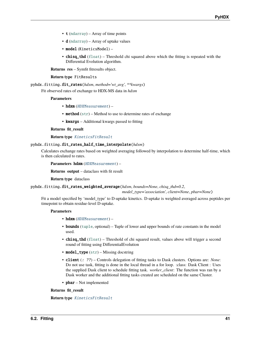- <span id="page-44-0"></span>•  $t$  ([ndarray](https://numpy.org/doc/stable/reference/generated/numpy.ndarray.html#numpy.ndarray)) – Array of time points
- **d** ([ndarray](https://numpy.org/doc/stable/reference/generated/numpy.ndarray.html#numpy.ndarray)) Array of uptake values
- model (KineticsModel) –
- chisq\_thd ([float](https://docs.python.org/3/library/functions.html#float)) Threshold chi squared above which the fitting is repeated with the Differential Evolution algorithm.

**Returns res** – Symfit fitresults object.

#### **Return type** FitResults

pyhdx.fitting.fit\_rates(*hdxm*, *method='wt\_avg'*, *\*\*kwargs*)

Fit observed rates of exchange to HDX-MS data in *hdxm*

#### **Parameters**

- hdxm ([HDXMeasurement](#page-34-0)) -
- method  $(str)$  $(str)$  $(str)$  Method to use to determine rates of exchange
- kwargs Additional kwargs passed to fitting

#### **Returns fit\_result**

#### **Return type** [KineticsFitResult](#page-41-1)

#### pyhdx.fitting.fit\_rates\_half\_time\_interpolate(*hdxm*)

Calculates exchange rates based on weighted averaging followed by interpolation to determine half-time, which is then calculated to rates.

**Parameters** hdxm ([HDXMeasurement](#page-34-0)) –

**Returns output** – dataclass with fit result

**Return type** dataclass

pyhdx.fitting.fit\_rates\_weighted\_average(*hdxm*, *bounds=None*, *chisq\_thd=0.2*,

*model\_type='association'*, *client=None*, *pbar=None*)

Fit a model specified by 'model\_type' to D-uptake kinetics. D-uptake is weighted averaged across peptides per timepoint to obtain residue-level D-uptake.

#### **Parameters**

- hdxm ([HDXMeasurement](#page-34-0)) -
- bounds ([tuple](https://docs.python.org/3/library/stdtypes.html#tuple), optional) Tuple of lower and upper bounds of rate constants in the model used.
- chisq\_thd ([float](https://docs.python.org/3/library/functions.html#float)) Threshold of chi squared result, values above will trigger a second round of fitting using DifferentialEvolution
- model\_type ([str](https://docs.python.org/3/library/stdtypes.html#str)) Missing docstring
- client (: ??) Controls delegation of fitting tasks to Dask clusters. Options are: *None*: Do not use task, fitting is done in the local thread in a for loop. :class: Dask Client : Uses the supplied Dask client to schedule fitting task. *worker\_client*: The function was ran by a Dask worker and the additional fitting tasks created are scheduled on the same Cluster.
- $\mathbf{pbar}$  Not implemented

#### **Returns fit\_result**

**Return type** [KineticsFitResult](#page-41-1)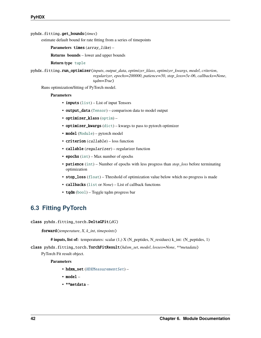<span id="page-45-1"></span>pyhdx.fitting.get\_bounds(*times*)

estimate default bound for rate fitting from a series of timepoints

**Parameters** times (array\_like) –

**Returns bounds** – lower and upper bounds

**Return type** [tuple](https://docs.python.org/3/library/stdtypes.html#tuple)

pyhdx.fitting.run\_optimizer(*inputs*, *output\_data*, *optimizer\_klass*, *optimizer\_kwargs*, *model*, *criterion*, *regularizer*, *epochs=200000*, *patience=50*, *stop\_loss=5e-06*, *callbacks=None*, *tqdm=True*)

Runs optimization/fitting of PyTorch model.

#### **Parameters**

- inputs ([list](https://docs.python.org/3/library/stdtypes.html#list)) List of input Tensors
- output\_data ([Tensor](https://pytorch.org/docs/stable/tensors.html#torch.Tensor)) comparison data to model output
- optimizer\_klass ([optim](https://pytorch.org/docs/stable/optim.html#module-torch.optim)) –
- optimizer\_kwargs ([dict](https://docs.python.org/3/library/stdtypes.html#dict)) kwargs to pass to pytorch optimizer
- model ([Module](https://pytorch.org/docs/stable/generated/torch.nn.Module.html#torch.nn.Module)) pytorch model
- criterion (callable) loss function
- callable (regularizer) regularizer function
- epochs  $(int)$  $(int)$  $(int)$  Max number of epochs
- patience ([int](https://docs.python.org/3/library/functions.html#int)) Number of epochs with less progress than *stop\_loss* before terminating optimization
- stop\_loss ([float](https://docs.python.org/3/library/functions.html#float)) Threshold of optimization value below which no progress is made
- callbacks ([list](https://docs.python.org/3/library/stdtypes.html#list) or *None*) List of callback functions
- tqdm ([bool](https://docs.python.org/3/library/functions.html#bool)) Toggle tqdm progress bar

### <span id="page-45-0"></span>**6.3 Fitting PyTorch**

class pyhdx.fitting\_torch.DeltaGFit(*dG*)

forward(*temperature*, *X*, *k\_int*, *timepoints*)

**# inputs, list of:** temperatures: scalar (1,) X (N\_peptides, N\_residues) k\_int: (N\_peptides, 1)

class pyhdx.fitting\_torch.TorchFitResult(*hdxm\_set*, *model*, *losses=None*, *\*\*metadata*) PyTorch Fit result object.

**Parameters**

- hdxm\_set ([HDXMeasurementSet](#page-36-0)) -
- model –
- \*\*metdata –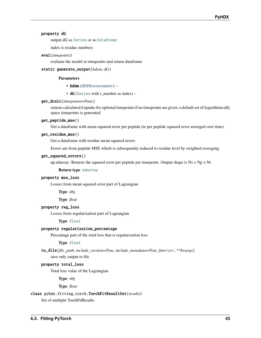#### <span id="page-46-0"></span>property dG

output dG as [Series](https://pandas.pydata.org/docs/reference/api/pandas.Series.html#pandas.Series) or as [DataFrame](https://pandas.pydata.org/docs/reference/api/pandas.DataFrame.html#pandas.DataFrame)

index is residue numbers

#### eval(*timepoints*)

evaluate the model at timepoints and return dataframe

#### static generate\_output(*hdxm*, *dG*)

#### **Parameters**

- hdxm ([HDXMeasurement](#page-34-0)) -
- dG ([Series](https://pandas.pydata.org/docs/reference/api/pandas.Series.html#pandas.Series) with r\_number as index) –

#### get\_dcalc(*timepoints=None*)

returns calculated d uptake for optional timepoints if no timepoints are given, a default set of logarithmically space timepoints is generated

#### get\_peptide\_mse()

Get a dataframe with mean squared error per peptide (ie per peptide squared error averaged over time)

#### get\_residue\_mse()

Get a dataframe with residue mean squared errors

Errors are from peptide MSE which is subsequently reduced to residue level by weighted averaging

#### get\_squared\_errors()

np.ndarray: Returns the squared error per peptide per timepoint. Output shape is Ns x Np x Nt

#### **Return type** [ndarray](https://numpy.org/doc/stable/reference/generated/numpy.ndarray.html#numpy.ndarray)

#### property mse\_loss

Losses from mean squared error part of Lagrangian

**Type** obj

**Type** *float*

#### property reg\_loss

Losses from regularization part of Lagrangian

#### **Type** [float](https://docs.python.org/3/library/functions.html#float)

#### property regularization\_percentage

Percentage part of the total loss that is regularization loss

#### **Type** [float](https://docs.python.org/3/library/functions.html#float)

to\_file(*file\_path*, *include\_version=True*, *include\_metadata=True*, *fmt='csv'*, *\*\*kwargs*) save only output to file

#### property total\_loss

Total loss value of the Lagrangian

**Type** obj

**Type** *float*

#### class pyhdx.fitting\_torch.TorchFitResultSet(*results*)

Set of multiple TorchFitResults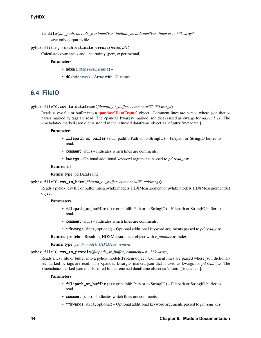<span id="page-47-1"></span>to\_file(*file\_path*, *include\_version=True*, *include\_metadata=True*, *fmt='csv'*, *\*\*kwargs*) save only output to file

#### pyhdx.fitting\_torch.estimate\_errors(*hdxm*, *dG*)

Calculate covariances and uncertainty (perr, experimental)

#### **Parameters**

- hdxm ([HDXMeasurement](#page-34-0)) -
- $dG$  ([ndarray](https://numpy.org/doc/stable/reference/generated/numpy.ndarray.html#numpy.ndarray)) Array with  $dG$  values.

### <span id="page-47-0"></span>**6.4 FileIO**

#### pyhdx.fileIO.csv\_to\_dataframe(*filepath\_or\_buffer*, *comment='#'*, *\*\*kwargs*)

Reads a .csv file or buffer into a **:pandas:`DataFrame`** object. Comment lines are parsed where json dictionaries marked by tags are read. The <pandas kwargs> marked json dict is used as kwargs for *pd.read csv* The <metadata> marked json dict is stored in the returned dataframe object as **`**df.attrs['metadata'].

#### **Parameters**

- filepath\_or\_buffer ([str](https://docs.python.org/3/library/stdtypes.html#str), pathlib.Path or io.StringIO) Filepath or StringIO buffer to read.
- comment ([str](https://docs.python.org/3/library/stdtypes.html#str)) Indicates which lines are comments.
- kwargs Optional additional keyword arguments passed to *pd.read\_csv*

#### **Returns df**

#### **Return type** pd.DataFrame

#### pyhdx.fileIO.csv\_to\_hdxm(*filepath\_or\_buffer*, *comment='#'*, *\*\*kwargs*)

Reads a pyhdx .csv file or buffer into a pyhdx.models.HDXMeasurement or pyhdx.models.HDXMeasurementSet object.

#### **Parameters**

- filepath\_or\_buffer ([str](https://docs.python.org/3/library/stdtypes.html#str) or pathlib.Path or io.StringIO) Filepath or StringIO buffer to read.
- comment ([str](https://docs.python.org/3/library/stdtypes.html#str)) Indicates which lines are comments.
- \*\*kwargs ([dict](https://docs.python.org/3/library/stdtypes.html#dict), optional) Optional additional keyword arguments passed to *pd.read\_csv*

**Returns protein** – Resulting HDXMeasurement object with *r\_number* as index

**Return type** *[pyhdx.models.HDXMeasurement](#page-34-0)*

pyhdx.fileIO.csv\_to\_protein(*filepath\_or\_buffer*, *comment='#'*, *\*\*kwargs*)

Reads a .csv file or buffer into a pyhdx.models.Protein object. Comment lines are parsed where json dictionaries marked by tags are read. The <pandas\_kwargs> marked json dict is used as kwargs for *pd.read\_csv* The <metadata> marked json dict is stored in the returned dataframe object as **`**df.attrs['metadata'].

#### **Parameters**

- filepath\_or\_buffer ([str](https://docs.python.org/3/library/stdtypes.html#str) or pathlib.Path or io.StringIO) Filepath or StringIO buffer to read.
- comment ([str](https://docs.python.org/3/library/stdtypes.html#str)) Indicates which lines are comments.
- \*\*kwargs ([dict](https://docs.python.org/3/library/stdtypes.html#dict), optional) Optional additional keyword arguments passed to *pd.read\_csv*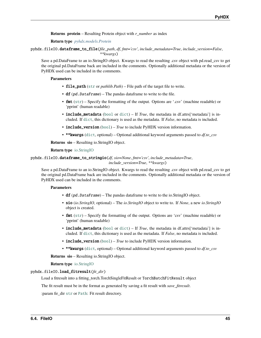<span id="page-48-0"></span>**Returns protein** – Resulting Protein object with *r\_number* as index

**Return type** *[pyhdx.models.Protein](#page-40-0)*

pyhdx.fileIO.dataframe\_to\_file(*file\_path*, *df*, *fmt='csv'*, *include\_metadata=True*, *include\_version=False*, *\*\*kwargs*)

Save a pd.DataFrame to an io.StringIO object. Kwargs to read the resulting .csv object with pd.read\_csv to get the original pd.DataFrame back are included in the comments. Optionally additional metadata or the version of PyHDX used can be included in the comments.

#### **Parameters**

- file\_path ([str](https://docs.python.org/3/library/stdtypes.html#str) or *pathlib.Path*) File path of the target file to write.
- **df**  $(pd.DataFrame)$  The pandas dataframe to write to the file.
- **fmt** ([str](https://docs.python.org/3/library/stdtypes.html#str)) Specify the formatting of the output. Options are '.csv' (machine readable) or 'pprint' (human readable)
- include\_metadata ([bool](https://docs.python.org/3/library/functions.html#bool) or [dict](https://docs.python.org/3/library/stdtypes.html#dict)) If *True*, the metadata in df.attrs['metadata'] is included. If [dict](https://docs.python.org/3/library/stdtypes.html#dict), this dictionary is used as the metadata. If *False*, no metadata is included.
- **include\_version** ([bool](https://docs.python.org/3/library/functions.html#bool)) *True* to include PyHDX version information.
- \*\*kwargs ([dict](https://docs.python.org/3/library/stdtypes.html#dict), optional) Optional additional keyword arguments passed to *df.to\_csv*

**Returns sio** – Resulting io.StringIO object.

#### **Return type** [io.StringIO](https://docs.python.org/3/library/io.html#io.StringIO)

```
pyhdx.fileIO.dataframe_to_stringio(df, sio=None, fmt='csv', include_metadata=True,
                                        include_version=True, **kwargs)
```
Save a pd.DataFrame to an io.StringIO object. Kwargs to read the resulting .csv object with pd.read\_csv to get the original pd.DataFrame back are included in the comments. Optionally additional metadata or the version of PyHDX used can be included in the comments.

#### **Parameters**

- **df**  $(pd.DataFrame)$  The pandas dataframe to write to the io.StringIO object.
- sio (*io.StringIO*, optional) The *io.StringIO* object to write to. If *None*, a new *io.StringIO* object is created.
- fmt ([str](https://docs.python.org/3/library/stdtypes.html#str)) Specify the formatting of the output. Options are 'csv' (machine readable) or 'pprint' (human readable)
- **include\_metadata** ([bool](https://docs.python.org/3/library/functions.html#bool) or [dict](https://docs.python.org/3/library/stdtypes.html#dict)) If *True*, the metadata in df.attrs['metadata'] is included. If [dict](https://docs.python.org/3/library/stdtypes.html#dict), this dictionary is used as the metadata. If *False*, no metadata is included.
- **include\_version** ([bool](https://docs.python.org/3/library/functions.html#bool)) *True* to include PyHDX version information.
- \*\*kwargs ([dict](https://docs.python.org/3/library/stdtypes.html#dict), optional) Optional additional keyword arguments passed to *df.to\_csv*

**Returns sio** – Resulting io.StringIO object.

#### **Return type** [io.StringIO](https://docs.python.org/3/library/io.html#io.StringIO)

#### pyhdx.fileIO.load\_fitresult(*fit\_dir*)

Load a fittesult into a fitting torch.TorchSingleFitResult or TorchBatchFitResult object

The fit result must be in the format as generated by saving a fit result with *save\_fitresult*.

:param fir\_dir [str](https://docs.python.org/3/library/stdtypes.html#str) or [Path](https://docs.python.org/3/library/pathlib.html#pathlib.Path): Fit result directory.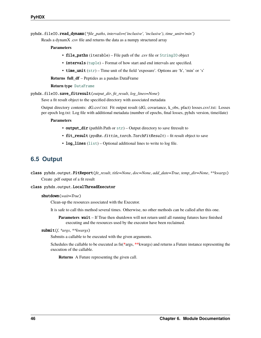<span id="page-49-1"></span>pyhdx.fileIO.read\_dynamx(*\*file\_paths*, *intervals=('inclusive', 'inclusive')*, *time\_unit='min'*)

Reads a dynamX .csv file and returns the data as a numpy structured array

#### **Parameters**

- file\_paths (iterable) File path of the .csv file or [StringIO](https://docs.python.org/3/library/io.html#io.StringIO) object
- intervals ([tuple](https://docs.python.org/3/library/stdtypes.html#tuple)) Format of how start and end intervals are specified.
- time\_unit ([str](https://docs.python.org/3/library/stdtypes.html#str)) Time unit of the field 'exposure'. Options are 'h', 'min' or 's'

**Returns full\_df** – Peptides as a pandas DataFrame

#### **Return type** [DataFrame](https://pandas.pydata.org/docs/reference/api/pandas.DataFrame.html#pandas.DataFrame)

pyhdx.fileIO.save\_fitresult(*output\_dir*, *fit\_result*, *log\_lines=None*)

Save a fit result object to the specified directory with associated metadata

Output directory contents: dG.csv/.txt: Fit output result (dG, covariance, k\_obs, pfact) losses.csv/.txt: Losses per epoch log.txt: Log file with additional metadata (number of epochs, final losses, pyhdx version, time/date)

#### **Parameters**

- output\_dir (pathlib. Path or  $str$ ) Output directory to save fitresult to
- fit\_result (pydhx.fittin\_torch.TorchFitResult) fit result object to save
- log\_lines ([list](https://docs.python.org/3/library/stdtypes.html#list)) Optional additional lines to write to log file.

## <span id="page-49-0"></span>**6.5 Output**

class pyhdx.output.FitReport(*fit\_result*, *title=None*, *doc=None*, *add\_date=True*, *temp\_dir=None*, *\*\*kwargs*) Create .pdf output of a fit result

#### class pyhdx.output.LocalThreadExecutor

#### shutdown(*wait=True*)

Clean-up the resources associated with the Executor.

It is safe to call this method several times. Otherwise, no other methods can be called after this one.

**Parameters** wait – If True then shutdown will not return until all running futures have finished executing and the resources used by the executor have been reclaimed.

#### submit(*f*, *\*args*, *\*\*kwargs*)

Submits a callable to be executed with the given arguments.

Schedules the callable to be executed as fn(**\***args, **\*\***kwargs) and returns a Future instance representing the execution of the callable.

**Returns** A Future representing the given call.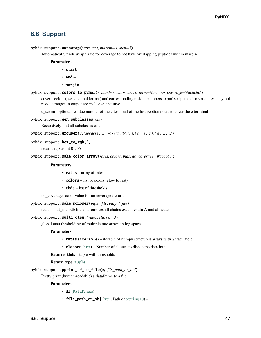### <span id="page-50-1"></span><span id="page-50-0"></span>**6.6 Support**

pyhdx.support.autowrap(*start*, *end*, *margin=4*, *step=5*)

Automatically finds wrap value for coverage to not have overlapping peptides within margin

**Parameters**

- start –
- end  $-$
- margin –

pyhdx.support.colors\_to\_pymol(*r\_number*, *color\_arr*, *c\_term=None*, *no\_coverage='#8c8c8c'*)

coverts colors (hexadecimal format) and corresponding residue numbers to pml script to color structures in pymol residue ranges in output are inclusive, incluive

**c\_term:** optional residue number of the c terminal of the last peptide doedsnt cover the c terminal

#### pyhdx.support.gen\_subclasses(*cls*)

Recursively find all subclasses of cls

pyhdx.support.grouper(*3*, *'abcdefg'*, *'x') --> ('a'*, *'b'*, *'c')*, *('d'*, *'e'*, *'f')*, *('g'*, *'x'*, *'x'*)

#### pyhdx.support.hex\_to\_rgb(*h*)

returns rgb as int 0-255

pyhdx.support.make\_color\_array(*rates*, *colors*, *thds*, *no\_coverage='#8c8c8c'*)

#### **Parameters**

- rates array of rates
- colors list of colors (slow to fast)
- thds list of thresholds

no\_coverage: color value for no coverage :return:

pyhdx.support.make\_monomer(*input\_file*, *output\_file*)

reads input\_file pdb file and removes all chains except chain A and all water

pyhdx.support.multi\_otsu(*\*rates*, *classes=3*)

global otsu thesholding of multiple rate arrays in log space

#### **Parameters**

- rates (iterable) iterable of numpy structured arrays with a 'rate' field
- classes ([int](https://docs.python.org/3/library/functions.html#int)) Number of classes to divide the data into

**Returns thds** – tuple with thresholds

**Return type** [tuple](https://docs.python.org/3/library/stdtypes.html#tuple)

pyhdx.support.pprint\_df\_to\_file(*df*, *file\_path\_or\_obj*)

Pretty print (human-readable) a dataframe to a file

**Parameters**

- df ([DataFrame](https://pandas.pydata.org/docs/reference/api/pandas.DataFrame.html#pandas.DataFrame)) –
- file\_path\_or\_obj ([str](https://docs.python.org/3/library/stdtypes.html#str), Path or [StringIO](https://docs.python.org/3/library/io.html#io.StringIO)) -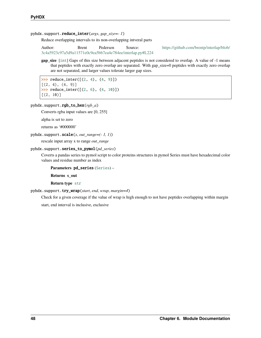#### <span id="page-51-0"></span>pyhdx.support.reduce\_inter(*args*, *gap\_size=- 1*)

Reduce overlapping intervals to its non-overlapping intveral parts

Author: Brent Pedersen Source: [https://github.com/brentp/interlap/blob/](https://github.com/brentp/interlap/blob/3c4a5923c97a5d9a11571e0c9ea5bb7ea4e784ee/interlap.py#L224) [3c4a5923c97a5d9a11571e0c9ea5bb7ea4e784ee/interlap.py#L224](https://github.com/brentp/interlap/blob/3c4a5923c97a5d9a11571e0c9ea5bb7ea4e784ee/interlap.py#L224)

**gap\_size** [[int](https://docs.python.org/3/library/functions.html#int)] Gaps of this size between adjacent peptides is not considered to overlap. A value of -1 means that peptides with exactly zero overlap are separated. With gap\_size=0 peptides with exactly zero overlap are not separated, and larger values tolerate larger gap sizes.

 $\gg$  reduce\_inter( $[(2, 4), (4, 9)]$ )  $[(2, 4), (4, 9)]$ >>> reduce\_inter( $[(2, 6), (4, 10)]$ )  $[(2, 10)]$ 

#### pyhdx.support.rgb\_to\_hex(*rgb\_a*)

Converts rgba input values are [0, 255]

alpha is set to zero

returns as '#000000'

pyhdx.support.scale(*x*, *out\_range=(- 1, 1)*)

rescale input array x to range *out\_range*

#### pyhdx.support.series\_to\_pymol(*pd\_series*)

Coverts a pandas series to pymol script to color proteins structures in pymol Series must have hexadecimal color values and residue number as index

**Parameters** pd\_series ([Series](https://pandas.pydata.org/docs/reference/api/pandas.Series.html#pandas.Series)) –

**Returns s\_out**

#### **Return type** [str](https://docs.python.org/3/library/stdtypes.html#str)

pyhdx.support.try\_wrap(*start*, *end*, *wrap*, *margin=4*)

Check for a given coverage if the value of wrap is high enough to not have peptides overlapping within margin

start, end interval is inclusive, exclusive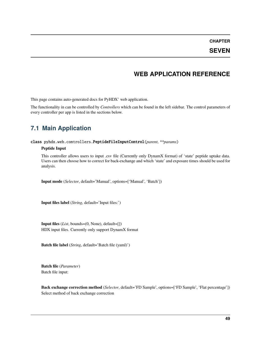**CHAPTER**

### **SEVEN**

### **WEB APPLICATION REFERENCE**

<span id="page-52-2"></span><span id="page-52-0"></span>This page contains auto-generated docs for PyHDX' web application.

The functionality in can be controlled by *Controllers* which can be found in the left sidebar. The control parameters of every controller per app is listed in the sections below.

## <span id="page-52-1"></span>**7.1 Main Application**

class pyhdx.web.controllers.PeptideFileInputControl(*parent*, *\*\*params*)

#### **Peptide Input**

This controller allows users to input .csv file (Currently only DynamX format) of 'state' peptide uptake data. Users can then choose how to correct for back-exchange and which 'state' and exposure times should be used for analysis.

**Input mode** (*Selector*, default='Manual', options=['Manual', 'Batch'])

**Input files label** (*String*, default='Input files:')

**Input files** (*List*, bounds=(0, None), default=[]) HDX input files. Currently only support DynamX format

**Batch file label** (*String*, default='Batch file (yaml)')

**Batch file** (*Parameter*) Batch file input:

**Back exchange correction method** (*Selector*, default='FD Sample', options=['FD Sample', 'Flat percentage']) Select method of back exchange correction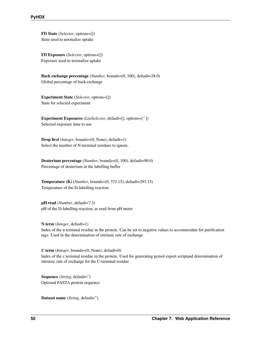**FD State** (*Selector*, options=[]) State used to normalize uptake

**FD Exposure** (*Selector*, options=[]) Exposure used to normalize uptake

**Back exchange percentage** (*Number*, bounds=(0, 100), default=28.0) Global percentage of back-exchange

**Experiment State** (*Selector*, options=[]) State for selected experiment

**Experiment Exposures** (*ListSelector*, default=[], options=['']) Selected exposure time to use

**Drop first** (*Integer*, bounds=(0, None), default=1) Select the number of N-terminal residues to ignore.

**Deuterium percentage** (*Number*, bounds=(0, 100), default=90.0) Percentage of deuterium in the labelling buffer

**Temperature (K)** (*Number*, bounds=(0, 373.15), default=293.15) Temperature of the D-labelling reaction

**pH** read (*Number*, default=7.5) pH of the D-labelling reaction, as read from pH meter

**N term** (*Integer*, default=1) Index of the n terminal residue in the protein. Can be set to negative values to accommodate for purification tags. Used in the determination of intrinsic rate of exchange

**C term** (*Integer*, bounds=(0, None), default=0) Index of the c terminal residue in the protein. Used for generating pymol export scriptand determination of intrinsic rate of exchange for the C-terminal residue

**Sequence** (*String*, default=") Optional FASTA protein sequence

**Dataset name** (*String*, default=")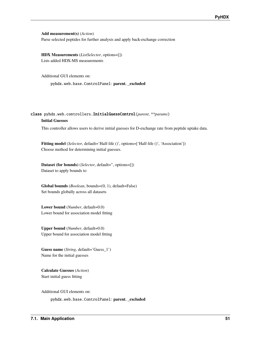<span id="page-54-0"></span>**Add measurement(s)** (*Action*)

Parse selected peptides for further analysis and apply back-exchange correction

**HDX Measurements** (*ListSelector*, options=[]) Lists added HDX-MS measurements

Additional GUI elements on:

pyhdx.web.base.ControlPanel: **parent**, **\_excluded**

### class pyhdx.web.controllers.InitialGuessControl(*parent*, *\*\*params*) **Initial Guesses**

This controller allows users to derive initial guesses for D-exchange rate from peptide uptake data.

**Fitting model** (*Selector*, default='Half-life ()', options=['Half-life ()', 'Association']) Choose method for determining initial guesses.

**Dataset (for bounds)** (*Selector*, default=", options=[]) Dataset to apply bounds to

**Global bounds** (*Boolean*, bounds=(0, 1), default=False) Set bounds globally across all datasets

**Lower bound** (*Number*, default=0.0) Lower bound for association model fitting

**Upper bound** (*Number*, default=0.0) Upper bound for association model fitting

**Guess name** (*String*, default='Guess\_1') Name for the initial guesses

**Calculate Guesses** (*Action*) Start initial guess fitting

Additional GUI elements on:

pyhdx.web.base.ControlPanel: **parent**, **\_excluded**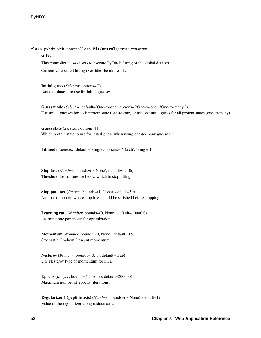<span id="page-55-0"></span>class pyhdx.web.controllers.FitControl(*parent*, *\*\*params*) **G Fit** This controller allows users to execute PyTorch fitting of the global data set.

Currently, repeated fitting overrides the old result.

**Initial guess** (*Selector*, options=[]) Name of dataset to use for initial guesses.

**Guess mode** (*Selector*, default='One-to-one', options=['One-to-one', 'One-to-many']) Use initial guesses for each protein state (one-to-one) or use one initialguess for all protein states (one-to-many)

**Guess state** (*Selector*, options=[]) Which protein state to use for initial guess when using one-to-many guesses

**Fit mode** (*Selector*, default='Single', options=['Batch', 'Single'])

**Stop loss** (*Number*, bounds=(0, None), default=5e-06) Threshold loss difference below which to stop fitting.

**Stop patience** (*Integer*, bounds=(1, None), default=50) Number of epochs where stop loss should be satisfied before stopping.

**Learning rate** (*Number*, bounds=(0, None), default=10000.0) Learning rate parameter for optimization.

**Momentum** (*Number*, bounds=(0, None), default=0.5) Stochastic Gradient Descent momentum

**Nesterov** (*Boolean*, bounds=(0, 1), default=True) Use Nesterov type of momentum for SGD

**Epochs** (*Integer*, bounds=(1, None), default=200000) Maximum number of epochs (iterations.

**Regularizer 1 (peptide axis)** (*Number*, bounds=(0, None), default=1) Value of the regularizer along residue axis.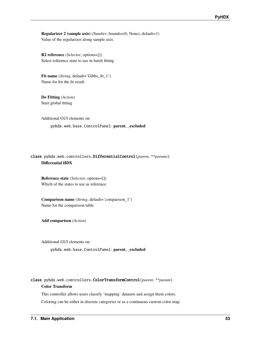<span id="page-56-0"></span>**Regularizer 2 (sample axis)** (*Number*, bounds=(0, None), default=1) Value of the regularizer along sample axis.

**R2 reference** (*Selector*, options=[]) Select reference state to use in batch fitting

**Fit name** (*String*, default='Gibbs\_fit\_1') Name for for the fit result

**Do Fitting** (*Action*) Start global fitting

Additional GUI elements on: pyhdx.web.base.ControlPanel: **parent**, **\_excluded**

### class pyhdx.web.controllers.DifferentialControl(*parent*, *\*\*params*) **Differential HDX**

**Reference state** (*Selector*, options=[]) Which of the states to use as reference

**Comparison name** (*String*, default='comparison\_1') Name for the comparison table

**Add comparison** (*Action*)

Additional GUI elements on:

pyhdx.web.base.ControlPanel: **parent**, **\_excluded**

class pyhdx.web.controllers.ColorTransformControl(*parent*, *\*\*param*) **Color Transform**

This controller allows users classify 'mapping' datasets and assign them colors.

Coloring can be either in discrete categories or as a continuous custom color map.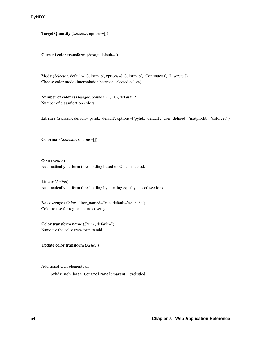<span id="page-57-0"></span>**Target Quantity** (*Selector*, options=[])

**Current color transform** (*String*, default=")

**Mode** (*Selector*, default='Colormap', options=['Colormap', 'Continuous', 'Discrete']) Choose color mode (interpolation between selected colors).

**Number of colours** (*Integer*, bounds=(1, 10), default=2) Number of classification colors.

Library (*Selector*, default='pyhdx\_default', options=['pyhdx\_default', 'user\_defined', 'matplotlib', 'colorcet'])

**Colormap** (*Selector*, options=[])

**Otsu** (*Action*) Automatically perform thresholding based on Otsu's method.

**Linear** (*Action*) Automatically perform thresholding by creating equally spaced sections.

**No coverage** (*Color*, allow\_named=True, default='#8c8c8c') Color to use for regions of no coverage

**Color transform name** (*String*, default=") Name for the color transform to add

**Update color transform** (*Action*)

Additional GUI elements on:

pyhdx.web.base.ControlPanel: **parent**, **\_excluded**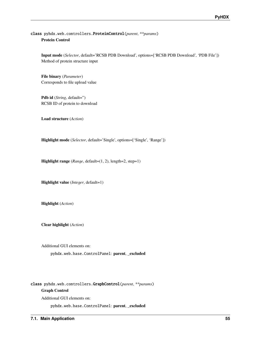### <span id="page-58-0"></span>class pyhdx.web.controllers.ProteinControl(*parent*, *\*\*params*) **Protein Control**

**Input mode** (*Selector*, default='RCSB PDB Download', options=['RCSB PDB Download', 'PDB File']) Method of protein structure input

**File binary** (*Parameter*) Corresponds to file upload value

Pdb id (*String*, default=") RCSB ID of protein to download

**Load structure** (*Action*)

**Highlight mode** (*Selector*, default='Single', options=['Single', 'Range'])

**Highlight range** (*Range*, default=(1, 2), length=2, step=1)

**Highlight value** (*Integer*, default=1)

**Highlight** (*Action*)

**Clear highlight** (*Action*)

Additional GUI elements on:

pyhdx.web.base.ControlPanel: **parent**, **\_excluded**

class pyhdx.web.controllers.GraphControl(*parent*, *\*\*params*) **Graph Control** Additional GUI elements on:

pyhdx.web.base.ControlPanel: **parent**, **\_excluded**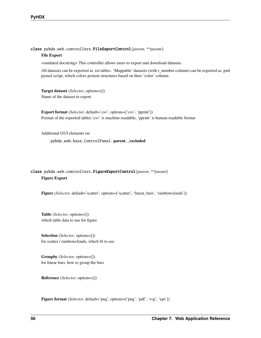<span id="page-59-0"></span>class pyhdx.web.controllers.FileExportControl(*parent*, *\*\*param*)

#### **File Export**

<outdated docstring> This controller allows users to export and download datasets.

All datasets can be exported as .txt tables. 'Mappable' datasets (with r\_number column) can be exported as .pml pymol script, which colors protein structures based on their 'color' column.

**Target dataset** (*Selector*, options=[]) Name of the dataset to export

**Export format** (*Selector*, default='csv', options=['csv', 'pprint']) Format of the exported tables.'csv' is machine-readable, 'pprint' is human-readable format

Additional GUI elements on:

pyhdx.web.base.ControlPanel: **parent**, **\_excluded**

### class pyhdx.web.controllers.FigureExportControl(*parent*, *\*\*param*) **Figure Export**

**Figure** (*Selector*, default='scatter', options=['scatter', 'linear\_bars', 'rainbowclouds'])

**Table** (*Selector*, options=[]) which table data to use for figure

**Selection** (*Selector*, options=[]) for scatter / rainbowclouds, which fit to use

**Groupby** (*Selector*, options=[]) for linear bars, how to group the bars

**Reference** (*Selector*, options=[])

**Figure format** (*Selector*, default='png', options=['png', 'pdf', 'svg', 'eps'])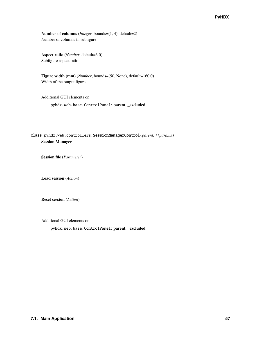<span id="page-60-0"></span>**Number of columns** (*Integer*, bounds=(1, 4), default=2) Number of columns in subfigure

**Aspect ratio** (*Number*, default=3.0) Subfigure aspect ratio

**Figure width (mm)** (*Number*, bounds=(50, None), default=160.0) Width of the output figure

Additional GUI elements on:

pyhdx.web.base.ControlPanel: **parent**, **\_excluded**

### class pyhdx.web.controllers.SessionManagerControl(*parent*, *\*\*params*) **Session Manager**

**Session file** (*Parameter*)

**Load session** (*Action*)

**Reset session** (*Action*)

Additional GUI elements on:

pyhdx.web.base.ControlPanel: **parent**, **\_excluded**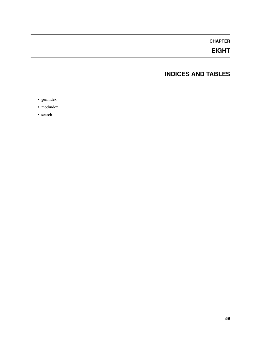### **CHAPTER**

## **EIGHT**

## **INDICES AND TABLES**

- <span id="page-62-0"></span>• genindex
- modindex
- search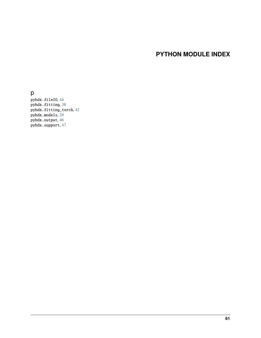## **PYTHON MODULE INDEX**

### <span id="page-64-0"></span>p

pyhdx.fileIO, [44](#page-47-0) pyhdx.fitting, [38](#page-41-0) pyhdx.fitting\_torch, [42](#page-45-0) pyhdx.models, [29](#page-32-1) pyhdx.output, [46](#page-49-0) pyhdx.support, [47](#page-50-0)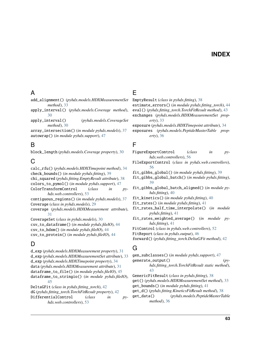### **INDEX**

### <span id="page-66-0"></span>A

#### add\_alignment() (*pyhdx.models.HDXMeasurementSet method*), [33](#page-36-1)

apply\_interval() (*pyhdx.models.Coverage method*), [30](#page-33-0)

apply\_interval() (*pyhdx.models.CoverageSet method*), [30](#page-33-0)

array\_intersection() (*in module pyhdx.models*), [37](#page-40-1) autowrap() (*in module pyhdx.support*), [47](#page-50-1)

## B

block\_length (*pyhdx.models.Coverage property*), [30](#page-33-0)

## C

calc\_rfu() (*pyhdx.models.HDXTimepoint method*), [34](#page-37-1) check\_bounds() (*in module pyhdx.fitting*), [39](#page-42-0) chi\_squared (*pyhdx.fitting.EmptyResult attribute*), [38](#page-41-2) colors\_to\_pymol() (*in module pyhdx.support*), [47](#page-50-1) ColorTransformControl (*class in pyhdx.web.controllers*), [53](#page-56-0) contiguous\_regions() (*in module pyhdx.models*), [37](#page-40-1) Coverage (*class in pyhdx.models*), [29](#page-32-3) coverage (*pyhdx.models.HDXMeasurement attribute*), [31](#page-34-1) CoverageSet (*class in pyhdx.models*), [30](#page-33-0) csv\_to\_dataframe() (*in module pyhdx.fileIO*), [44](#page-47-1) csv\_to\_hdxm() (*in module pyhdx.fileIO*), [44](#page-47-1) csv\_to\_protein() (*in module pyhdx.fileIO*), [44](#page-47-1)

## D

d\_exp (*pyhdx.models.HDXMeasurement property*), [31](#page-34-1) d\_exp (*pyhdx.models.HDXMeasurementSet attribute*), [33](#page-36-1) d\_exp (*pyhdx.models.HDXTimepoint property*), [34](#page-37-1) data (*pyhdx.models.HDXMeasurement attribute*), [31](#page-34-1) dataframe\_to\_file() (*in module pyhdx.fileIO*), [45](#page-48-0) dataframe\_to\_stringio() (*in module pyhdx.fileIO*), [45](#page-48-0) DeltaGFit (*class in pyhdx.fitting\_torch*), [42](#page-45-1) dG (*pyhdx.fitting\_torch.TorchFitResult property*), [42](#page-45-1)

DifferentialControl (*class in pyhdx.web.controllers*), [53](#page-56-0)

### E

EmptyResult (*class in pyhdx.fitting*), [38](#page-41-2)

estimate\_errors() (*in module pyhdx.fitting\_torch*), [44](#page-47-1)

eval() (*pyhdx.fitting\_torch.TorchFitResult method*), [43](#page-46-0) exchanges (*pyhdx.models.HDXMeasurementSet prop-*

*erty*), [33](#page-36-1) exposure (*pyhdx.models.HDXTimepoint attribute*), [34](#page-37-1)

exposures (*pyhdx.models.PeptideMasterTable property*), [36](#page-39-0)

### F

FigureExportControl (*class in pyhdx.web.controllers*), [56](#page-59-0)

FileExportControl (*class in pyhdx.web.controllers*), [56](#page-59-0)

fit\_gibbs\_global() (*in module pyhdx.fitting*), [39](#page-42-0)

fit\_gibbs\_global\_batch() (*in module pyhdx.fitting*), [39](#page-42-0)

fit\_gibbs\_global\_batch\_aligned() (*in module pyhdx.fitting*), [40](#page-43-0)

fit\_kinetics() (*in module pyhdx.fitting*), [40](#page-43-0)

fit\_rates() (*in module pyhdx.fitting*), [41](#page-44-0)

fit\_rates\_half\_time\_interpolate() (*in module pyhdx.fitting*), [41](#page-44-0)

fit\_rates\_weighted\_average() (*in module pyhdx.fitting*), [41](#page-44-0)

FitControl (*class in pyhdx.web.controllers*), [52](#page-55-0)

FitReport (*class in pyhdx.output*), [46](#page-49-1)

forward() (*pyhdx.fitting\_torch.DeltaGFit method*), [42](#page-45-1)

## G

gen\_subclasses() (*in module pyhdx.support*), [47](#page-50-1) generate\_output() (*pyhdx.fitting\_torch.TorchFitResult static method*), [43](#page-46-0) GenericFitResult (*class in pyhdx.fitting*), [38](#page-41-2)

get() (*pyhdx.models.HDXMeasurementSet method*), [33](#page-36-1) get\_bounds() (*in module pyhdx.fitting*), [41](#page-44-0)

get\_d() (*pyhdx.fitting.KineticsFitResult method*), [38](#page-41-2)

get\_data() (*pyhdx.models.PeptideMasterTable method*), [36](#page-39-0)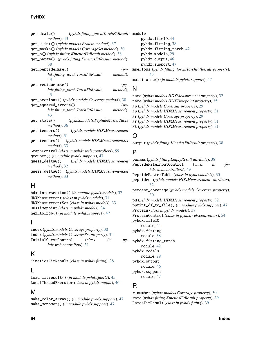| get_dcalc()<br>(pyhdx.fitting_torch.TorchFitResult    |
|-------------------------------------------------------|
| method), 43                                           |
| get_k_int()(pyhdx.models.Protein method), 37          |
| get_masks()(pyhdx.models.CoverageSet method), 30      |
| get_p() (pyhdx.fitting.KineticsFitResult method), 38  |
| get_param() (pyhdx.fitting.KineticsFitResult method), |
| 38                                                    |
| get_peptide_mse()<br>$(py-$                           |
| hdx.fitting_torch.TorchFitResult<br>method),          |
| 43                                                    |
| get_residue_mse()<br>$(py-$                           |
| hdx.fitting_torch.TorchFitResult<br>method),          |
| 43                                                    |
| get_sections()(pyhdx.models.Coverage method), 30      |
| get_squared_errors()<br>$(py-$                        |
| method),<br>hdx.fitting_torch.TorchFitResult          |
| 43                                                    |
| (pyhdx.models.PeptideMasterTable<br>get_state()       |
| method), 36                                           |
| (pyhdx.models.HDXMeasurement<br>get_tensors()         |
| $method$ , 31                                         |
| get_tensors() (pyhdx.models.HDXMeasurementSet         |
| $method$ , 33                                         |
| GraphControl (class in pyhdx.web.controllers), 55     |
| grouper() (in module pyhdx.support), 47               |
|                                                       |
| $method$ , 32                                         |
| guess_deltaG() (pyhdx.models.HDXMeasurementSet        |
| method), 33                                           |
|                                                       |
| н                                                     |

## H

hdx\_intersection() (*in module pyhdx.models*), [37](#page-40-1) HDXMeasurement (*class in pyhdx.models*), [31](#page-34-1) HDXMeasurementSet (*class in pyhdx.models*), [33](#page-36-1) HDXTimepoint (*class in pyhdx.models*), [34](#page-37-1) hex\_to\_rgb() (*in module pyhdx.support*), [47](#page-50-1)

### I

index (*pyhdx.models.Coverage property*), [30](#page-33-0) index (*pyhdx.models.CoverageSet property*), [31](#page-34-1) InitialGuessControl (*class in pyhdx.web.controllers*), [51](#page-54-0)

## K

KineticsFitResult (*class in pyhdx.fitting*), [38](#page-41-2)

## L

load\_fitresult() (*in module pyhdx.fileIO*), [45](#page-48-0) LocalThreadExecutor (*class in pyhdx.output*), [46](#page-49-1)

## M

make\_color\_array() (*in module pyhdx.support*), [47](#page-50-1) make\_monomer() (*in module pyhdx.support*), [47](#page-50-1)

module pyhdx.fileIO, [44](#page-47-1) pyhdx.fitting, [38](#page-41-2) pyhdx.fitting\_torch, [42](#page-45-1) pyhdx.models, [29](#page-32-3) pyhdx.output, [46](#page-49-1) pyhdx.support, [47](#page-50-1) mse\_loss (*pyhdx.fitting\_torch.TorchFitResult property*), [43](#page-46-0) multi\_otsu() (*in module pyhdx.support*), [47](#page-50-1)

## N

name (*pyhdx.models.HDXMeasurement property*), [32](#page-35-1) name (*pyhdx.models.HDXTimepoint property*), [35](#page-38-0) Np (*pyhdx.models.Coverage property*), [29](#page-32-3) Np (*pyhdx.models.HDXMeasurement property*), [31](#page-34-1) Nr (*pyhdx.models.Coverage property*), [29](#page-32-3) Nr (*pyhdx.models.HDXMeasurement property*), [31](#page-34-1) Nt (*pyhdx.models.HDXMeasurement property*), [31](#page-34-1)

## O

output (*pyhdx.fitting.KineticsFitResult property*), [38](#page-41-2)

## P

params (*pyhdx.fitting.EmptyResult attribute*), [38](#page-41-2) PeptideFileInputControl (*class in pyhdx.web.controllers*), [49](#page-52-2) PeptideMasterTable (*class in pyhdx.models*), [35](#page-38-0) peptides (*pyhdx.models.HDXMeasurement attribute*), [32](#page-35-1) percent\_coverage (*pyhdx.models.Coverage property*), [30](#page-33-0) pH (*pyhdx.models.HDXMeasurement property*), [32](#page-35-1) pprint\_df\_to\_file() (*in module pyhdx.support*), [47](#page-50-1) Protein (*class in pyhdx.models*), [37](#page-40-1) ProteinControl (*class in pyhdx.web.controllers*), [54](#page-57-0) pyhdx.fileIO module, [44](#page-47-1) pyhdx.fitting module, [38](#page-41-2) pyhdx.fitting\_torch module, [42](#page-45-1) pyhdx.models module, [29](#page-32-3) pyhdx.output module, [46](#page-49-1) pyhdx.support module, [47](#page-50-1)

### R

r\_number (*pyhdx.models.Coverage property*), [30](#page-33-0) rate (*pyhdx.fitting.KineticsFitResult property*), [39](#page-42-0) RatesFitResult (*class in pyhdx.fitting*), [39](#page-42-0)